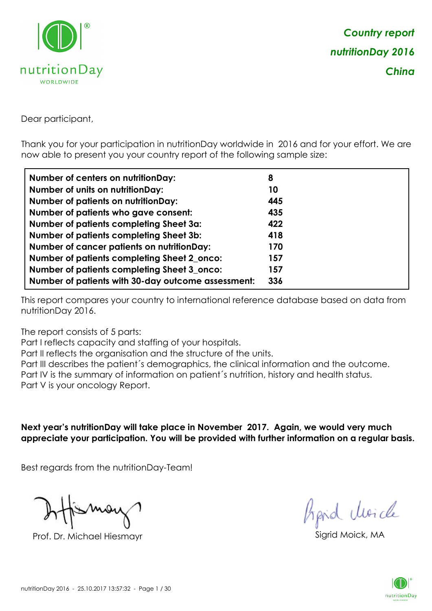

Dear participant,

Thank you for your participation in nutritionDay worldwide in 2016 and for your effort. We are now able to present you your country report of the following sample size:

| <b>Number of centers on nutritionDay:</b>          | 8   |
|----------------------------------------------------|-----|
| <b>Number of units on nutritionDay:</b>            | 10  |
| <b>Number of patients on nutritionDay:</b>         | 445 |
| Number of patients who gave consent:               | 435 |
| <b>Number of patients completing Sheet 3a:</b>     | 422 |
| <b>Number of patients completing Sheet 3b:</b>     | 418 |
| <b>Number of cancer patients on nutritionDay:</b>  | 170 |
| Number of patients completing Sheet 2_onco:        | 157 |
| Number of patients completing Sheet 3_onco:        | 157 |
| Number of patients with 30-day outcome assessment: | 336 |

This report compares your country to international reference database based on data from nutritionDay 2016.

The report consists of 5 parts:

Part I reflects capacity and staffing of your hospitals.

Part II reflects the organisation and the structure of the units.

Part III describes the patient´s demographics, the clinical information and the outcome.

Part IV is the summary of information on patient´s nutrition, history and health status.

Part V is your oncology Report.

**Next year's nutritionDay will take place in November 2017. Again, we would very much appreciate your participation. You will be provided with further information on a regular basis.**

Best regards from the nutritionDay-Team!

Prof. Dr. Michael Hiesmayr Sigrid Moick, MA

*Prpid cleacle* 

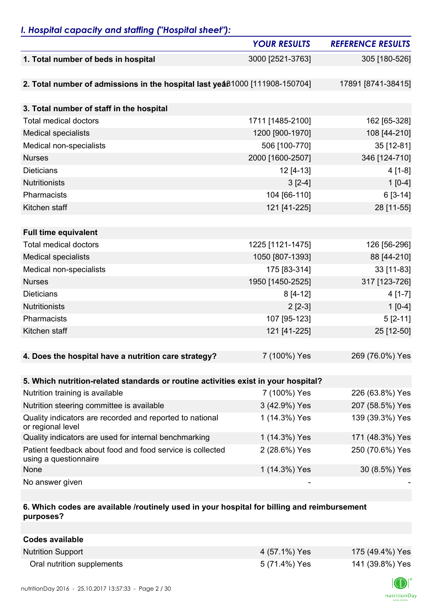## *I. Hospital capacity and staffing ("Hospital sheet"):*

|                                                                                    | <b>YOUR RESULTS</b> | <b>REFERENCE RESULTS</b> |
|------------------------------------------------------------------------------------|---------------------|--------------------------|
| 1. Total number of beds in hospital                                                | 3000 [2521-3763]    | 305 [180-526]            |
|                                                                                    |                     |                          |
| 2. Total number of admissions in the hospital last yeaß1000 [111908-150704]        |                     | 17891 [8741-38415]       |
|                                                                                    |                     |                          |
| 3. Total number of staff in the hospital                                           |                     |                          |
| <b>Total medical doctors</b>                                                       | 1711 [1485-2100]    | 162 [65-328]             |
| <b>Medical specialists</b>                                                         | 1200 [900-1970]     | 108 [44-210]             |
| Medical non-specialists                                                            | 506 [100-770]       | 35 [12-81]               |
| <b>Nurses</b>                                                                      | 2000 [1600-2507]    | 346 [124-710]            |
| <b>Dieticians</b>                                                                  | 12 [4-13]           | $4[1-8]$                 |
| <b>Nutritionists</b>                                                               | $3[2-4]$            | $1[0-4]$                 |
| Pharmacists                                                                        | 104 [66-110]        | $6[3-14]$                |
| Kitchen staff                                                                      | 121 [41-225]        | 28 [11-55]               |
|                                                                                    |                     |                          |
| <b>Full time equivalent</b>                                                        |                     |                          |
| <b>Total medical doctors</b>                                                       | 1225 [1121-1475]    | 126 [56-296]             |
| <b>Medical specialists</b>                                                         | 1050 [807-1393]     | 88 [44-210]              |
| Medical non-specialists                                                            | 175 [83-314]        | 33 [11-83]               |
| <b>Nurses</b>                                                                      | 1950 [1450-2525]    | 317 [123-726]            |
| <b>Dieticians</b>                                                                  | $8[4-12]$           | $4[1-7]$                 |
| <b>Nutritionists</b>                                                               | $2$ [2-3]           | $1[0-4]$                 |
| Pharmacists                                                                        | 107 [95-123]        | $5[2-11]$                |
| Kitchen staff                                                                      | 121 [41-225]        | 25 [12-50]               |
|                                                                                    |                     |                          |
| 4. Does the hospital have a nutrition care strategy?                               | 7 (100%) Yes        | 269 (76.0%) Yes          |
|                                                                                    |                     |                          |
| 5. Which nutrition-related standards or routine activities exist in your hospital? |                     |                          |
| Nutrition training is available                                                    | 7 (100%) Yes        | 226 (63.8%) Yes          |
| Nutrition steering committee is available                                          | 3 (42.9%) Yes       | 207 (58.5%) Yes          |
| Quality indicators are recorded and reported to national<br>or regional level      | 1 (14.3%) Yes       | 139 (39.3%) Yes          |
| Quality indicators are used for internal benchmarking                              | 1 (14.3%) Yes       | 171 (48.3%) Yes          |
| Patient feedback about food and food service is collected<br>using a questionnaire | 2 (28.6%) Yes       | 250 (70.6%) Yes          |
| None                                                                               | 1 (14.3%) Yes       | 30 (8.5%) Yes            |
| No answer given                                                                    |                     |                          |

### **6. Which codes are available /routinely used in your hospital for billing and reimbursement purposes?**

| Codes available            |               |                 |
|----------------------------|---------------|-----------------|
| <b>Nutrition Support</b>   | 4 (57.1%) Yes | 175 (49.4%) Yes |
| Oral nutrition supplements | 5 (71.4%) Yes | 141 (39.8%) Yes |

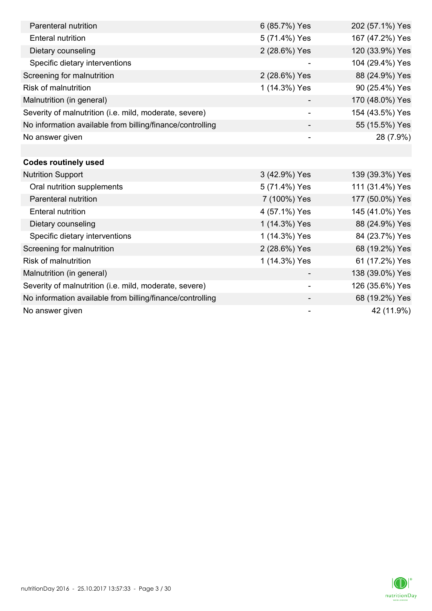| Parenteral nutrition                                      | 6 (85.7%) Yes            | 202 (57.1%) Yes |
|-----------------------------------------------------------|--------------------------|-----------------|
| <b>Enteral nutrition</b>                                  | 5 (71.4%) Yes            | 167 (47.2%) Yes |
| Dietary counseling                                        | 2 (28.6%) Yes            | 120 (33.9%) Yes |
| Specific dietary interventions                            |                          | 104 (29.4%) Yes |
| Screening for malnutrition                                | 2 (28.6%) Yes            | 88 (24.9%) Yes  |
| <b>Risk of malnutrition</b>                               | 1 (14.3%) Yes            | 90 (25.4%) Yes  |
| Malnutrition (in general)                                 |                          | 170 (48.0%) Yes |
| Severity of malnutrition (i.e. mild, moderate, severe)    | $\overline{\phantom{a}}$ | 154 (43.5%) Yes |
| No information available from billing/finance/controlling |                          | 55 (15.5%) Yes  |
| No answer given                                           |                          | 28 (7.9%)       |
|                                                           |                          |                 |
| <b>Codes routinely used</b>                               |                          |                 |
| <b>Nutrition Support</b>                                  | 3 (42.9%) Yes            | 139 (39.3%) Yes |
| Oral nutrition supplements                                | 5 (71.4%) Yes            | 111 (31.4%) Yes |
| Parenteral nutrition                                      | 7 (100%) Yes             | 177 (50.0%) Yes |
| <b>Enteral nutrition</b>                                  | 4 (57.1%) Yes            | 145 (41.0%) Yes |
| Dietary counseling                                        | 1 (14.3%) Yes            | 88 (24.9%) Yes  |
| Specific dietary interventions                            | 1 (14.3%) Yes            | 84 (23.7%) Yes  |
| Screening for malnutrition                                | 2 (28.6%) Yes            | 68 (19.2%) Yes  |
| Risk of malnutrition                                      | 1 (14.3%) Yes            | 61 (17.2%) Yes  |
| Malnutrition (in general)                                 |                          | 138 (39.0%) Yes |
| Severity of malnutrition (i.e. mild, moderate, severe)    | -                        | 126 (35.6%) Yes |
| No information available from billing/finance/controlling |                          | 68 (19.2%) Yes  |
| No answer given                                           |                          | 42 (11.9%)      |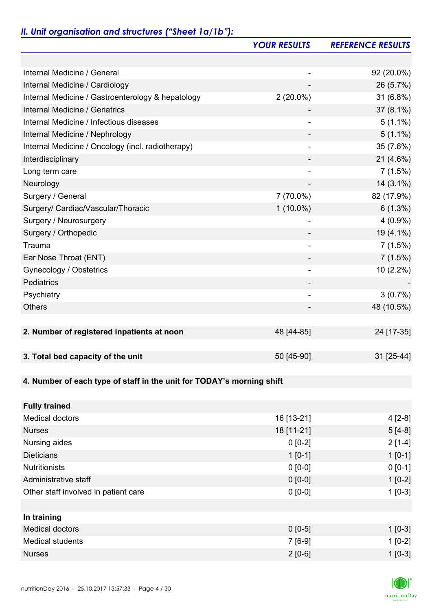# *II. Unit organisation and structures ("Sheet 1a/1b"):*

|                                                                       | <b>YOUR RESULTS</b>      | <b>REFERENCE RESULTS</b> |
|-----------------------------------------------------------------------|--------------------------|--------------------------|
|                                                                       |                          |                          |
| Internal Medicine / General                                           | -                        | 92 (20.0%)               |
| Internal Medicine / Cardiology                                        |                          | 26 (5.7%)                |
| Internal Medicine / Gastroenterology & hepatology                     | $2(20.0\%)$              | 31 (6.8%)                |
| <b>Internal Medicine / Geriatrics</b>                                 |                          | 37 (8.1%)                |
| Internal Medicine / Infectious diseases                               | -                        | $5(1.1\%)$               |
| Internal Medicine / Nephrology                                        | -                        | $5(1.1\%)$               |
| Internal Medicine / Oncology (incl. radiotherapy)                     |                          | 35 (7.6%)                |
| Interdisciplinary                                                     |                          | 21 (4.6%)                |
| Long term care                                                        | $\overline{\phantom{a}}$ | 7(1.5%)                  |
| Neurology                                                             | $\overline{\phantom{a}}$ | 14 (3.1%)                |
| Surgery / General                                                     | 7 (70.0%)                | 82 (17.9%)               |
| Surgery/ Cardiac/Vascular/Thoracic                                    | $1(10.0\%)$              | $6(1.3\%)$               |
| Surgery / Neurosurgery                                                |                          | $4(0.9\%)$               |
| Surgery / Orthopedic                                                  |                          | 19 (4.1%)                |
| Trauma                                                                | -                        | 7(1.5%)                  |
| Ear Nose Throat (ENT)                                                 |                          | 7(1.5%)                  |
| Gynecology / Obstetrics                                               | $\overline{\phantom{a}}$ | 10 (2.2%)                |
| Pediatrics                                                            | -                        |                          |
| Psychiatry                                                            |                          | 3(0.7%)                  |
| <b>Others</b>                                                         |                          | 48 (10.5%)               |
|                                                                       |                          |                          |
| 2. Number of registered inpatients at noon                            | 48 [44-85]               | 24 [17-35]               |
|                                                                       |                          |                          |
| 3. Total bed capacity of the unit                                     | 50 [45-90]               | 31 [25-44]               |
|                                                                       |                          |                          |
| 4. Number of each type of staff in the unit for TODAY's morning shift |                          |                          |
|                                                                       |                          |                          |
| <b>Fully trained</b>                                                  |                          |                          |
| <b>Medical doctors</b>                                                | 16 [13-21]               | 4 [2-8]                  |
| <b>Nurses</b>                                                         | 18 [11-21]               | $5[4-8]$                 |
| Nursing aides                                                         | $0 [0-2]$                | $2[1-4]$                 |
| <b>Dieticians</b>                                                     | $1 [0-1]$                | $1[0-1]$                 |
| <b>Nutritionists</b>                                                  | $0 [0-0]$                | $0[0-1]$                 |
| Administrative staff                                                  | $0 [0-0]$                | $1[0-2]$                 |
| Other staff involved in patient care                                  | $0 [0-0]$                | $1[0-3]$                 |
|                                                                       |                          |                          |
| In training                                                           |                          |                          |
| <b>Medical doctors</b>                                                | $0 [0-5]$                | $1[0-3]$                 |
| <b>Medical students</b>                                               | $7[6-9]$                 | $1[0-2]$                 |
| <b>Nurses</b>                                                         | $2[0-6]$                 | $1 [0-3]$                |

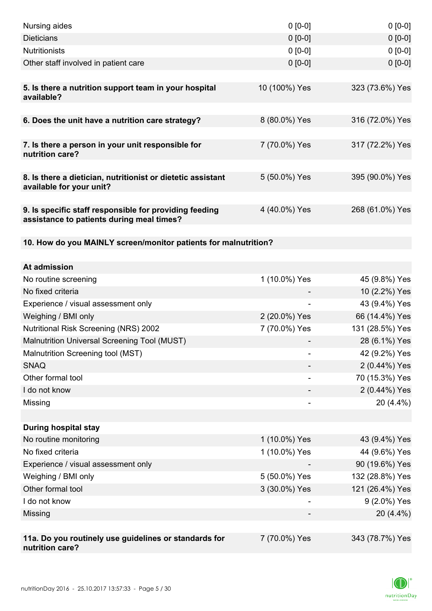| Nursing aides                                                                                       | $0 [0-0]$     | $0[0-0]$        |
|-----------------------------------------------------------------------------------------------------|---------------|-----------------|
| <b>Dieticians</b>                                                                                   | $0 [0-0]$     | $0[0-0]$        |
| <b>Nutritionists</b>                                                                                | $0 [0-0]$     | $0 [0-0]$       |
| Other staff involved in patient care                                                                | $0 [0-0]$     | $0 [0-0]$       |
|                                                                                                     |               |                 |
| 5. Is there a nutrition support team in your hospital<br>available?                                 | 10 (100%) Yes | 323 (73.6%) Yes |
| 6. Does the unit have a nutrition care strategy?                                                    | 8 (80.0%) Yes | 316 (72.0%) Yes |
| 7. Is there a person in your unit responsible for<br>nutrition care?                                | 7 (70.0%) Yes | 317 (72.2%) Yes |
|                                                                                                     |               |                 |
| 8. Is there a dietician, nutritionist or dietetic assistant<br>available for your unit?             | 5 (50.0%) Yes | 395 (90.0%) Yes |
| 9. Is specific staff responsible for providing feeding<br>assistance to patients during meal times? | 4 (40.0%) Yes | 268 (61.0%) Yes |
|                                                                                                     |               |                 |
| 10. How do you MAINLY screen/monitor patients for malnutrition?                                     |               |                 |
| At admission                                                                                        |               |                 |
| No routine screening                                                                                | 1 (10.0%) Yes | 45 (9.8%) Yes   |
| No fixed criteria                                                                                   |               | 10 (2.2%) Yes   |
| Experience / visual assessment only                                                                 |               | 43 (9.4%) Yes   |
| Weighing / BMI only                                                                                 | 2 (20.0%) Yes | 66 (14.4%) Yes  |
| <b>Nutritional Risk Screening (NRS) 2002</b>                                                        | 7 (70.0%) Yes | 131 (28.5%) Yes |
| Malnutrition Universal Screening Tool (MUST)                                                        |               | 28 (6.1%) Yes   |
| Malnutrition Screening tool (MST)                                                                   |               | 42 (9.2%) Yes   |
| <b>SNAQ</b>                                                                                         |               | 2 (0.44%) Yes   |
| Other formal tool                                                                                   |               | 70 (15.3%) Yes  |
| I do not know                                                                                       |               | 2 (0.44%) Yes   |
| Missing                                                                                             |               | 20 (4.4%)       |
|                                                                                                     |               |                 |
| <b>During hospital stay</b>                                                                         |               |                 |
| No routine monitoring                                                                               | 1 (10.0%) Yes | 43 (9.4%) Yes   |
| No fixed criteria                                                                                   | 1 (10.0%) Yes | 44 (9.6%) Yes   |
| Experience / visual assessment only                                                                 |               | 90 (19.6%) Yes  |
| Weighing / BMI only                                                                                 | 5 (50.0%) Yes | 132 (28.8%) Yes |
| Other formal tool                                                                                   | 3 (30.0%) Yes | 121 (26.4%) Yes |
| I do not know                                                                                       |               | 9 (2.0%) Yes    |
| Missing                                                                                             |               | 20 (4.4%)       |
|                                                                                                     |               |                 |
| 11a. Do you routinely use guidelines or standards for<br>nutrition care?                            | 7 (70.0%) Yes | 343 (78.7%) Yes |

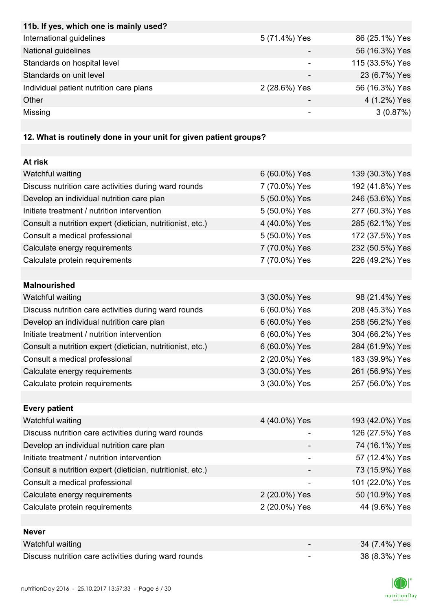| International guidelines<br>5 (71.4%) Yes<br>86 (25.1%) Yes<br>56 (16.3%) Yes |  | 11b. If yes, which one is mainly used? |
|-------------------------------------------------------------------------------|--|----------------------------------------|
|                                                                               |  |                                        |
|                                                                               |  | National guidelines                    |
| 115 (33.5%) Yes<br>Standards on hospital level                                |  |                                        |
| 23 (6.7%) Yes<br>Standards on unit level                                      |  |                                        |
| 56 (16.3%) Yes<br>Individual patient nutrition care plans<br>2 (28.6%) Yes    |  |                                        |
| 4 (1.2%) Yes<br>Other                                                         |  |                                        |
| Missing<br>3(0.87%)<br>-                                                      |  |                                        |

## **12. What is routinely done in your unit for given patient groups?**

| At risk                                                    |               |                 |
|------------------------------------------------------------|---------------|-----------------|
| Watchful waiting                                           | 6 (60.0%) Yes | 139 (30.3%) Yes |
| Discuss nutrition care activities during ward rounds       | 7 (70.0%) Yes | 192 (41.8%) Yes |
| Develop an individual nutrition care plan                  | 5 (50.0%) Yes | 246 (53.6%) Yes |
| Initiate treatment / nutrition intervention                | 5 (50.0%) Yes | 277 (60.3%) Yes |
| Consult a nutrition expert (dietician, nutritionist, etc.) | 4 (40.0%) Yes | 285 (62.1%) Yes |
| Consult a medical professional                             | 5 (50.0%) Yes | 172 (37.5%) Yes |
| Calculate energy requirements                              | 7 (70.0%) Yes | 232 (50.5%) Yes |
| Calculate protein requirements                             | 7 (70.0%) Yes | 226 (49.2%) Yes |
|                                                            |               |                 |
| <b>Malnourished</b>                                        |               |                 |
| Watchful waiting                                           | 3 (30.0%) Yes | 98 (21.4%) Yes  |
| Discuss nutrition care activities during ward rounds       | 6 (60.0%) Yes | 208 (45.3%) Yes |
| Develop an individual nutrition care plan                  | 6 (60.0%) Yes | 258 (56.2%) Yes |
| Initiate treatment / nutrition intervention                | 6 (60.0%) Yes | 304 (66.2%) Yes |
| Consult a nutrition expert (dietician, nutritionist, etc.) | 6 (60.0%) Yes | 284 (61.9%) Yes |
| Consult a medical professional                             | 2 (20.0%) Yes | 183 (39.9%) Yes |
| Calculate energy requirements                              | 3 (30.0%) Yes | 261 (56.9%) Yes |
| Calculate protein requirements                             | 3 (30.0%) Yes | 257 (56.0%) Yes |
|                                                            |               |                 |
| <b>Every patient</b>                                       |               |                 |
| <b>Watchful waiting</b>                                    | 4 (40.0%) Yes | 193 (42.0%) Yes |
| Discuss nutrition care activities during ward rounds       |               | 126 (27.5%) Yes |
| Develop an individual nutrition care plan                  |               | 74 (16.1%) Yes  |
| Initiate treatment / nutrition intervention                |               | 57 (12.4%) Yes  |
| Consult a nutrition expert (dietician, nutritionist, etc.) |               | 73 (15.9%) Yes  |
| Consult a medical professional                             |               | 101 (22.0%) Yes |
| Calculate energy requirements                              | 2 (20.0%) Yes | 50 (10.9%) Yes  |
| Calculate protein requirements                             | 2 (20.0%) Yes | 44 (9.6%) Yes   |
|                                                            |               |                 |
| <b>Never</b>                                               |               |                 |
| Watchful waiting                                           |               | 34 (7.4%) Yes   |
| Discuss nutrition care activities during ward rounds       |               | 38 (8.3%) Yes   |

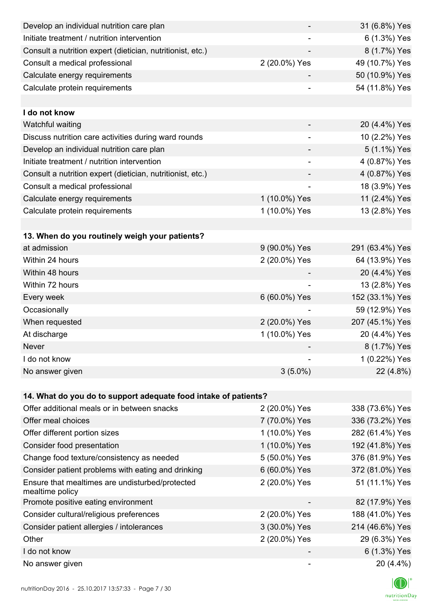| Develop an individual nutrition care plan                          |                              | 31 (6.8%) Yes   |
|--------------------------------------------------------------------|------------------------------|-----------------|
| Initiate treatment / nutrition intervention                        |                              | 6 (1.3%) Yes    |
| Consult a nutrition expert (dietician, nutritionist, etc.)         |                              | 8 (1.7%) Yes    |
| Consult a medical professional                                     | 2 (20.0%) Yes                | 49 (10.7%) Yes  |
| Calculate energy requirements                                      |                              | 50 (10.9%) Yes  |
| Calculate protein requirements                                     |                              | 54 (11.8%) Yes  |
|                                                                    |                              |                 |
| I do not know                                                      |                              |                 |
| Watchful waiting                                                   |                              | 20 (4.4%) Yes   |
| Discuss nutrition care activities during ward rounds               |                              | 10 (2.2%) Yes   |
| Develop an individual nutrition care plan                          |                              | 5 (1.1%) Yes    |
| Initiate treatment / nutrition intervention                        | $\qquad \qquad \blacksquare$ | 4 (0.87%) Yes   |
| Consult a nutrition expert (dietician, nutritionist, etc.)         |                              | 4 (0.87%) Yes   |
| Consult a medical professional                                     |                              | 18 (3.9%) Yes   |
| Calculate energy requirements                                      | 1 (10.0%) Yes                | 11 (2.4%) Yes   |
| Calculate protein requirements                                     | 1 (10.0%) Yes                | 13 (2.8%) Yes   |
|                                                                    |                              |                 |
| 13. When do you routinely weigh your patients?                     |                              |                 |
| at admission                                                       | 9 (90.0%) Yes                | 291 (63.4%) Yes |
| Within 24 hours                                                    | 2 (20.0%) Yes                | 64 (13.9%) Yes  |
| Within 48 hours                                                    |                              | 20 (4.4%) Yes   |
| Within 72 hours                                                    |                              | 13 (2.8%) Yes   |
| Every week                                                         | 6 (60.0%) Yes                | 152 (33.1%) Yes |
| Occasionally                                                       |                              | 59 (12.9%) Yes  |
| When requested                                                     | 2 (20.0%) Yes                | 207 (45.1%) Yes |
| At discharge                                                       | 1 (10.0%) Yes                | 20 (4.4%) Yes   |
| Never                                                              |                              | 8 (1.7%) Yes    |
| I do not know                                                      |                              | 1 (0.22%) Yes   |
| No answer given                                                    | $3(5.0\%)$                   | 22 (4.8%)       |
|                                                                    |                              |                 |
| 14. What do you do to support adequate food intake of patients?    |                              |                 |
| Offer additional meals or in between snacks                        | 2 (20.0%) Yes                | 338 (73.6%) Yes |
| Offer meal choices                                                 | 7 (70.0%) Yes                | 336 (73.2%) Yes |
| Offer different portion sizes                                      | 1 (10.0%) Yes                | 282 (61.4%) Yes |
| Consider food presentation                                         | 1 (10.0%) Yes                | 192 (41.8%) Yes |
| Change food texture/consistency as needed                          | 5 (50.0%) Yes                | 376 (81.9%) Yes |
| Consider patient problems with eating and drinking                 | 6 (60.0%) Yes                | 372 (81.0%) Yes |
| Ensure that mealtimes are undisturbed/protected<br>mealtime policy | 2 (20.0%) Yes                | 51 (11.1%) Yes  |
| Promote positive eating environment                                |                              | 82 (17.9%) Yes  |
| Consider cultural/religious preferences                            | 2 (20.0%) Yes                | 188 (41.0%) Yes |
| Consider patient allergies / intolerances                          | 3 (30.0%) Yes                | 214 (46.6%) Yes |
| Other                                                              | 2 (20.0%) Yes                | 29 (6.3%) Yes   |
| I do not know                                                      |                              | 6 (1.3%) Yes    |
| No answer given                                                    |                              | 20 (4.4%)       |

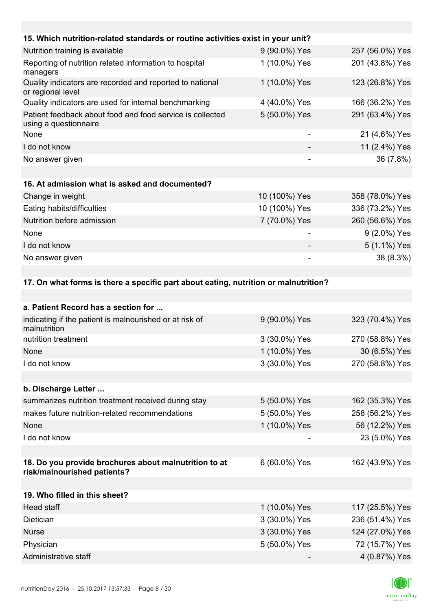| 15. Which nutrition-related standards or routine activities exist in your unit?     |                          |                 |
|-------------------------------------------------------------------------------------|--------------------------|-----------------|
| Nutrition training is available                                                     | 9 (90.0%) Yes            | 257 (56.0%) Yes |
| Reporting of nutrition related information to hospital<br>managers                  | 1 (10.0%) Yes            | 201 (43.8%) Yes |
| Quality indicators are recorded and reported to national<br>or regional level       | 1 (10.0%) Yes            | 123 (26.8%) Yes |
| Quality indicators are used for internal benchmarking                               | 4 (40.0%) Yes            | 166 (36.2%) Yes |
| Patient feedback about food and food service is collected<br>using a questionnaire  | 5 (50.0%) Yes            | 291 (63.4%) Yes |
| None                                                                                | $\overline{\phantom{a}}$ | 21 (4.6%) Yes   |
| I do not know                                                                       |                          | 11 (2.4%) Yes   |
| No answer given                                                                     |                          | 36 (7.8%)       |
|                                                                                     |                          |                 |
| 16. At admission what is asked and documented?                                      |                          |                 |
| Change in weight                                                                    | 10 (100%) Yes            | 358 (78.0%) Yes |
| Eating habits/difficulties                                                          | 10 (100%) Yes            | 336 (73.2%) Yes |
| Nutrition before admission                                                          | 7 (70.0%) Yes            | 260 (56.6%) Yes |
| None                                                                                |                          | 9 (2.0%) Yes    |
| I do not know                                                                       |                          | 5 (1.1%) Yes    |
| No answer given                                                                     |                          | 38 (8.3%)       |
|                                                                                     |                          |                 |
| 17. On what forms is there a specific part about eating, nutrition or malnutrition? |                          |                 |

| a. Patient Record has a section for                                                  |               |                 |
|--------------------------------------------------------------------------------------|---------------|-----------------|
| indicating if the patient is malnourished or at risk of<br>malnutrition              | 9 (90.0%) Yes | 323 (70.4%) Yes |
| nutrition treatment                                                                  | 3 (30.0%) Yes | 270 (58.8%) Yes |
| None                                                                                 | 1 (10.0%) Yes | 30 (6.5%) Yes   |
| I do not know                                                                        | 3 (30.0%) Yes | 270 (58.8%) Yes |
|                                                                                      |               |                 |
| b. Discharge Letter                                                                  |               |                 |
| summarizes nutrition treatment received during stay                                  | 5 (50.0%) Yes | 162 (35.3%) Yes |
| makes future nutrition-related recommendations                                       | 5 (50.0%) Yes | 258 (56.2%) Yes |
| <b>None</b>                                                                          | 1 (10.0%) Yes | 56 (12.2%) Yes  |
| I do not know                                                                        |               | 23 (5.0%) Yes   |
|                                                                                      |               |                 |
| 18. Do you provide brochures about malnutrition to at<br>risk/malnourished patients? | 6 (60.0%) Yes | 162 (43.9%) Yes |
|                                                                                      |               |                 |
| 19. Who filled in this sheet?                                                        |               |                 |
| Head staff                                                                           | 1 (10.0%) Yes | 117 (25.5%) Yes |
| Dietician                                                                            | 3 (30.0%) Yes | 236 (51.4%) Yes |
| <b>Nurse</b>                                                                         | 3 (30.0%) Yes | 124 (27.0%) Yes |
| Physician                                                                            | 5 (50.0%) Yes | 72 (15.7%) Yes  |
| Administrative staff                                                                 |               | 4 (0.87%) Yes   |

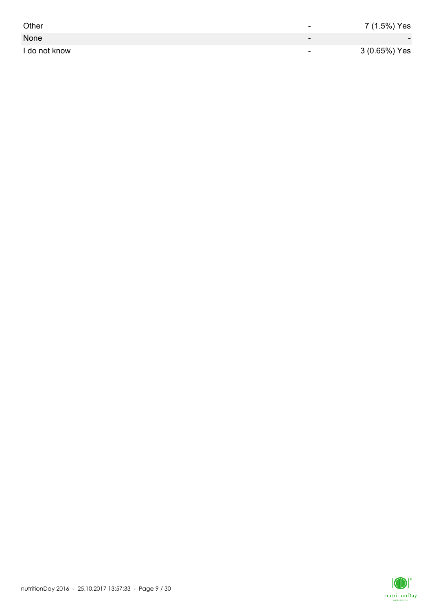| Other         | -                        | 7 (1.5%) Yes             |
|---------------|--------------------------|--------------------------|
| None          | $\overline{\phantom{0}}$ | $\overline{\phantom{0}}$ |
| I do not know | $\overline{\phantom{0}}$ | 3 (0.65%) Yes            |

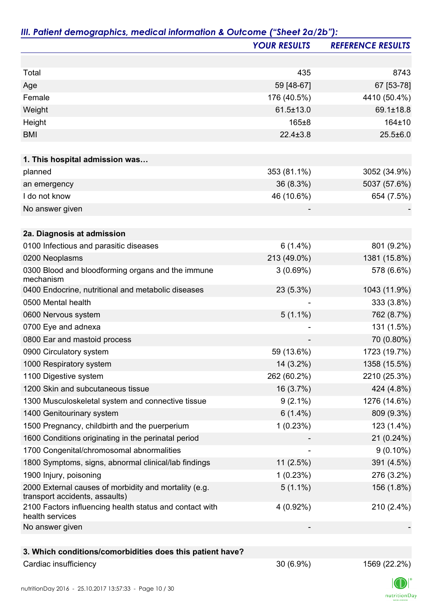|                                                                                         | <b>YOUR RESULTS</b> | <b>REFERENCE RESULTS</b> |
|-----------------------------------------------------------------------------------------|---------------------|--------------------------|
|                                                                                         |                     |                          |
| Total                                                                                   | 435                 | 8743                     |
| Age                                                                                     | 59 [48-67]          | 67 [53-78]               |
| Female                                                                                  | 176 (40.5%)         | 4410 (50.4%)             |
| Weight                                                                                  | $61.5 \pm 13.0$     | 69.1±18.8                |
| Height                                                                                  | 165±8               | 164±10                   |
| <b>BMI</b>                                                                              | $22.4 \pm 3.8$      | $25.5 \pm 6.0$           |
|                                                                                         |                     |                          |
| 1. This hospital admission was                                                          |                     |                          |
| planned                                                                                 | 353 (81.1%)         | 3052 (34.9%)             |
| an emergency                                                                            | 36 (8.3%)           | 5037 (57.6%)             |
| I do not know                                                                           | 46 (10.6%)          | 654 (7.5%)               |
| No answer given                                                                         |                     |                          |
| 2a. Diagnosis at admission                                                              |                     |                          |
| 0100 Infectious and parasitic diseases                                                  | $6(1.4\%)$          | 801 (9.2%)               |
| 0200 Neoplasms                                                                          | 213 (49.0%)         | 1381 (15.8%)             |
| 0300 Blood and bloodforming organs and the immune                                       | 3(0.69%)            | 578 (6.6%)               |
| mechanism<br>0400 Endocrine, nutritional and metabolic diseases                         | 23 (5.3%)           | 1043 (11.9%)             |
| 0500 Mental health                                                                      |                     | 333 (3.8%)               |
| 0600 Nervous system                                                                     | $5(1.1\%)$          | 762 (8.7%)               |
| 0700 Eye and adnexa                                                                     |                     | 131 (1.5%)               |
| 0800 Ear and mastoid process                                                            |                     | 70 (0.80%)               |
| 0900 Circulatory system                                                                 | 59 (13.6%)          | 1723 (19.7%)             |
| 1000 Respiratory system                                                                 | 14 (3.2%)           | 1358 (15.5%)             |
| 1100 Digestive system                                                                   | 262 (60.2%)         | 2210 (25.3%)             |
| 1200 Skin and subcutaneous tissue                                                       | 16 (3.7%)           | 424 (4.8%)               |
| 1300 Musculoskeletal system and connective tissue                                       | $9(2.1\%)$          | 1276 (14.6%)             |
| 1400 Genitourinary system                                                               | $6(1.4\%)$          | 809 (9.3%)               |
| 1500 Pregnancy, childbirth and the puerperium                                           | 1(0.23%)            | 123 (1.4%)               |
| 1600 Conditions originating in the perinatal period                                     |                     | 21 (0.24%)               |
| 1700 Congenital/chromosomal abnormalities                                               |                     | $9(0.10\%)$              |
| 1800 Symptoms, signs, abnormal clinical/lab findings                                    | 11(2.5%)            | 391 (4.5%)               |
| 1900 Injury, poisoning                                                                  | 1(0.23%)            | 276 (3.2%)               |
| 2000 External causes of morbidity and mortality (e.g.<br>transport accidents, assaults) | $5(1.1\%)$          | 156 (1.8%)               |
| 2100 Factors influencing health status and contact with<br>health services              | 4 (0.92%)           | 210 (2.4%)               |
| No answer given                                                                         |                     |                          |
|                                                                                         |                     |                          |
| 3. Which conditions/comorbidities does this patient have?                               |                     |                          |
| Cardiac insufficiency                                                                   | 30 (6.9%)           | 1569 (22.2%)             |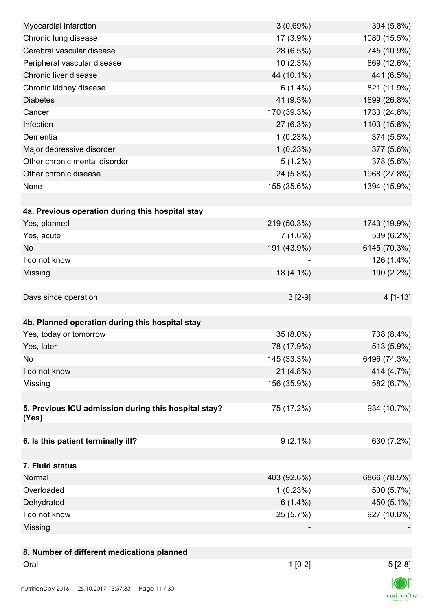| Myocardial infarction                                | 3(0.69%)    | 394 (5.8%)     |
|------------------------------------------------------|-------------|----------------|
| Chronic lung disease                                 | 17 (3.9%)   | 1080 (15.5%)   |
| Cerebral vascular disease                            | 28 (6.5%)   | 745 (10.9%)    |
| Peripheral vascular disease                          | 10 (2.3%)   | 869 (12.6%)    |
| Chronic liver disease                                | 44 (10.1%)  | 441 (6.5%)     |
| Chronic kidney disease                               | $6(1.4\%)$  | 821 (11.9%)    |
| <b>Diabetes</b>                                      | 41 (9.5%)   | 1899 (26.8%)   |
| Cancer                                               | 170 (39.3%) | 1733 (24.8%)   |
| Infection                                            | 27 (6.3%)   | 1103 (15.8%)   |
| Dementia                                             | 1(0.23%)    | 374 (5.5%)     |
| Major depressive disorder                            | 1(0.23%)    | 377 (5.6%)     |
| Other chronic mental disorder                        | $5(1.2\%)$  | 378 (5.6%)     |
| Other chronic disease                                | 24 (5.8%)   | 1968 (27.8%)   |
| None                                                 | 155 (35.6%) | 1394 (15.9%)   |
|                                                      |             |                |
| 4a. Previous operation during this hospital stay     |             |                |
| Yes, planned                                         | 219 (50.3%) | 1743 (19.9%)   |
| Yes, acute                                           | $7(1.6\%)$  | 539 (6.2%)     |
| <b>No</b>                                            | 191 (43.9%) | 6145 (70.3%)   |
| I do not know                                        |             | 126 (1.4%)     |
| Missing                                              | $18(4.1\%)$ | 190 (2.2%)     |
|                                                      |             |                |
| Days since operation                                 | $3[2-9]$    | 4 [1-13]       |
|                                                      |             |                |
| 4b. Planned operation during this hospital stay      |             |                |
| Yes, today or tomorrow                               | 35 (8.0%)   | 738 (8.4%)     |
| Yes, later                                           | 78 (17.9%)  | 513 (5.9%)     |
| No                                                   | 145 (33.3%) | 6496 (74.3%)   |
| I do not know                                        | 21 (4.8%)   | 414 (4.7%)     |
| Missing                                              | 156 (35.9%) | 582 (6.7%)     |
|                                                      |             |                |
| 5. Previous ICU admission during this hospital stay? | 75 (17.2%)  | 934 (10.7%)    |
| (Yes)                                                |             |                |
|                                                      |             |                |
| 6. Is this patient terminally ill?                   | $9(2.1\%)$  | 630 (7.2%)     |
|                                                      |             |                |
| 7. Fluid status                                      |             |                |
| Normal                                               | 403 (92.6%) | 6866 (78.5%)   |
| Overloaded                                           | 1(0.23%)    | 500 (5.7%)     |
| Dehydrated                                           | $6(1.4\%)$  | 450 (5.1%)     |
| I do not know                                        | 25 (5.7%)   | 927 (10.6%)    |
| Missing                                              |             |                |
|                                                      |             |                |
| 8. Number of different medications planned           |             |                |
| Oral                                                 | $1[0-2]$    | $5[2-8]$       |
|                                                      |             | $\blacksquare$ |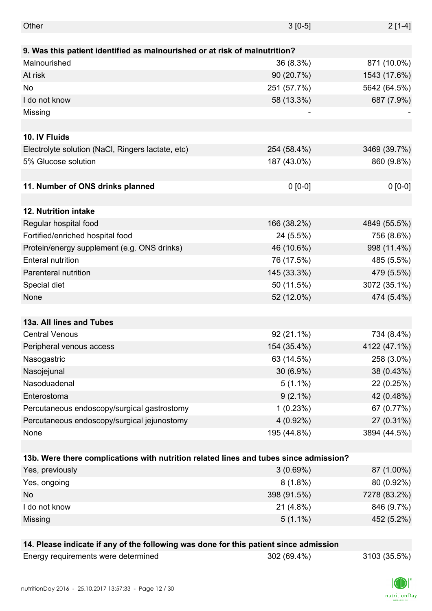| Other                                                                                 | $3[0-5]$    | $2[1-4]$     |
|---------------------------------------------------------------------------------------|-------------|--------------|
|                                                                                       |             |              |
| 9. Was this patient identified as malnourished or at risk of malnutrition?            |             |              |
| Malnourished                                                                          | 36 (8.3%)   | 871 (10.0%)  |
| At risk                                                                               | 90 (20.7%)  | 1543 (17.6%) |
| No                                                                                    | 251 (57.7%) | 5642 (64.5%) |
| I do not know                                                                         | 58 (13.3%)  | 687 (7.9%)   |
| Missing                                                                               |             |              |
|                                                                                       |             |              |
| 10. IV Fluids                                                                         |             |              |
| Electrolyte solution (NaCl, Ringers lactate, etc)                                     | 254 (58.4%) | 3469 (39.7%) |
| 5% Glucose solution                                                                   | 187 (43.0%) | 860 (9.8%)   |
|                                                                                       |             |              |
| 11. Number of ONS drinks planned                                                      | $0 [0-0]$   | $0 [0-0]$    |
|                                                                                       |             |              |
| 12. Nutrition intake                                                                  |             |              |
| Regular hospital food                                                                 | 166 (38.2%) | 4849 (55.5%) |
| Fortified/enriched hospital food                                                      | 24 (5.5%)   | 756 (8.6%)   |
| Protein/energy supplement (e.g. ONS drinks)                                           | 46 (10.6%)  | 998 (11.4%)  |
| <b>Enteral nutrition</b>                                                              | 76 (17.5%)  | 485 (5.5%)   |
| Parenteral nutrition                                                                  | 145 (33.3%) | 479 (5.5%)   |
| Special diet                                                                          | 50 (11.5%)  | 3072 (35.1%) |
| None                                                                                  | 52 (12.0%)  | 474 (5.4%)   |
|                                                                                       |             |              |
| 13a. All lines and Tubes                                                              |             |              |
| <b>Central Venous</b>                                                                 | 92 (21.1%)  | 734 (8.4%)   |
| Peripheral venous access                                                              | 154 (35.4%) | 4122 (47.1%) |
| Nasogastric                                                                           | 63 (14.5%)  | 258 (3.0%)   |
| Nasojejunal                                                                           | 30 (6.9%)   | 38 (0.43%)   |
| Nasoduadenal                                                                          | $5(1.1\%)$  | 22 (0.25%)   |
| Enterostoma                                                                           | $9(2.1\%)$  | 42 (0.48%)   |
| Percutaneous endoscopy/surgical gastrostomy                                           | 1(0.23%)    | 67 (0.77%)   |
| Percutaneous endoscopy/surgical jejunostomy                                           | 4 (0.92%)   | 27 (0.31%)   |
| None                                                                                  | 195 (44.8%) | 3894 (44.5%) |
|                                                                                       |             |              |
| 13b. Were there complications with nutrition related lines and tubes since admission? |             |              |
| Yes, previously                                                                       | 3(0.69%)    | 87 (1.00%)   |
| Yes, ongoing                                                                          | $8(1.8\%)$  | 80 (0.92%)   |
| No                                                                                    | 398 (91.5%) | 7278 (83.2%) |
| I do not know                                                                         | 21 (4.8%)   | 846 (9.7%)   |
| Missing                                                                               | $5(1.1\%)$  | 452 (5.2%)   |
|                                                                                       |             |              |
| 14. Please indicate if any of the following was done for this patient since admission |             |              |
| Energy requirements were determined                                                   | 302 (69.4%) | 3103 (35.5%) |

nutritionDay 2016 - 25.10.2017 13:57:33 - Page 12 / 30

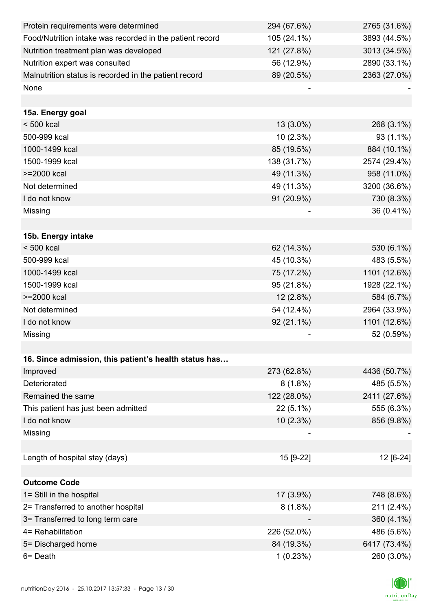| Protein requirements were determined                     | 294 (67.6%) | 2765 (31.6%) |
|----------------------------------------------------------|-------------|--------------|
| Food/Nutrition intake was recorded in the patient record | 105 (24.1%) | 3893 (44.5%) |
| Nutrition treatment plan was developed                   | 121 (27.8%) | 3013 (34.5%) |
| Nutrition expert was consulted                           | 56 (12.9%)  | 2890 (33.1%) |
| Malnutrition status is recorded in the patient record    | 89 (20.5%)  | 2363 (27.0%) |
| None                                                     |             |              |
|                                                          |             |              |
| 15a. Energy goal                                         |             |              |
| $< 500$ kcal                                             | $13(3.0\%)$ | 268 (3.1%)   |
| 500-999 kcal                                             | $10(2.3\%)$ | 93 (1.1%)    |
| 1000-1499 kcal                                           | 85 (19.5%)  | 884 (10.1%)  |
| 1500-1999 kcal                                           | 138 (31.7%) | 2574 (29.4%) |
| >=2000 kcal                                              | 49 (11.3%)  | 958 (11.0%)  |
| Not determined                                           | 49 (11.3%)  | 3200 (36.6%) |
| I do not know                                            | 91 (20.9%)  | 730 (8.3%)   |
| Missing                                                  |             | 36 (0.41%)   |
|                                                          |             |              |
| 15b. Energy intake                                       |             |              |
| $< 500$ kcal                                             | 62 (14.3%)  | 530 (6.1%)   |
| 500-999 kcal                                             | 45 (10.3%)  | 483 (5.5%)   |
| 1000-1499 kcal                                           | 75 (17.2%)  | 1101 (12.6%) |
| 1500-1999 kcal                                           | 95 (21.8%)  | 1928 (22.1%) |
| >=2000 kcal                                              | $12(2.8\%)$ | 584 (6.7%)   |
| Not determined                                           | 54 (12.4%)  | 2964 (33.9%) |
| I do not know                                            | 92 (21.1%)  | 1101 (12.6%) |
| Missing                                                  |             | 52 (0.59%)   |
|                                                          |             |              |
| 16. Since admission, this patient's health status has    |             |              |
| Improved                                                 | 273 (62.8%) | 4436 (50.7%) |
| Deteriorated                                             | $8(1.8\%)$  | 485 (5.5%)   |
| Remained the same                                        | 122 (28.0%) | 2411 (27.6%) |
| This patient has just been admitted                      | $22(5.1\%)$ | 555 (6.3%)   |
| I do not know                                            | $10(2.3\%)$ | 856 (9.8%)   |
| Missing                                                  |             |              |
|                                                          |             |              |
| Length of hospital stay (days)                           | 15 [9-22]   | 12 [6-24]    |
|                                                          |             |              |
| <b>Outcome Code</b>                                      |             |              |
| 1= Still in the hospital                                 | 17 (3.9%)   | 748 (8.6%)   |
| 2= Transferred to another hospital                       | $8(1.8\%)$  | 211 (2.4%)   |
| 3= Transferred to long term care                         |             | 360 (4.1%)   |
| 4= Rehabilitation                                        | 226 (52.0%) | 486 (5.6%)   |
| 5= Discharged home                                       | 84 (19.3%)  | 6417 (73.4%) |
| 6= Death                                                 | 1(0.23%)    | 260 (3.0%)   |

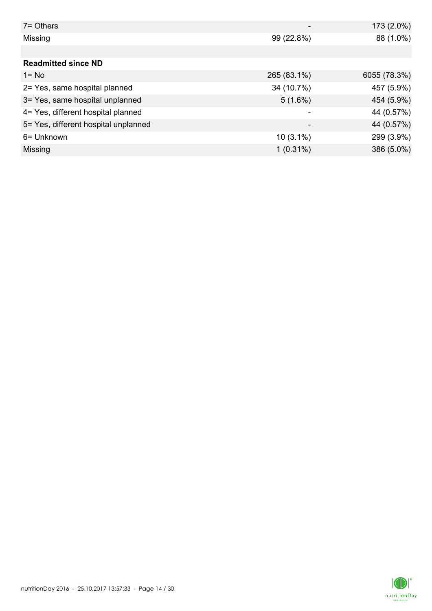| $7 =$ Others                         |             | 173 (2.0%)   |
|--------------------------------------|-------------|--------------|
| Missing                              | 99 (22.8%)  | 88 (1.0%)    |
|                                      |             |              |
| <b>Readmitted since ND</b>           |             |              |
| $1 = No$                             | 265 (83.1%) | 6055 (78.3%) |
| 2= Yes, same hospital planned        | 34 (10.7%)  | 457 (5.9%)   |
| 3= Yes, same hospital unplanned      | $5(1.6\%)$  | 454 (5.9%)   |
| 4= Yes, different hospital planned   |             | 44 (0.57%)   |
| 5= Yes, different hospital unplanned | -           | 44 (0.57%)   |
| 6= Unknown                           | $10(3.1\%)$ | 299 (3.9%)   |
| Missing                              | $1(0.31\%)$ | 386 (5.0%)   |

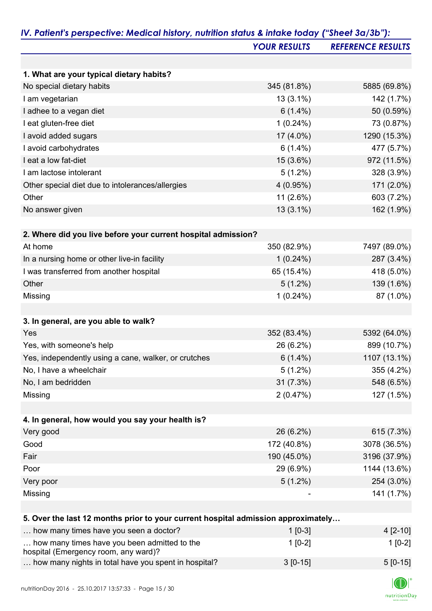|                                                                                   | <b>YOUR RESULTS</b> | <b>REFERENCE RESULTS</b> |
|-----------------------------------------------------------------------------------|---------------------|--------------------------|
|                                                                                   |                     |                          |
| 1. What are your typical dietary habits?                                          |                     |                          |
| No special dietary habits                                                         | 345 (81.8%)         | 5885 (69.8%)             |
| I am vegetarian                                                                   | $13(3.1\%)$         | 142 (1.7%)               |
| I adhee to a vegan diet                                                           | $6(1.4\%)$          | 50 (0.59%)               |
| I eat gluten-free diet                                                            | $1(0.24\%)$         | 73 (0.87%)               |
| I avoid added sugars                                                              | 17 (4.0%)           | 1290 (15.3%)             |
| I avoid carbohydrates                                                             | $6(1.4\%)$          | 477 (5.7%)               |
| I eat a low fat-diet                                                              | 15 (3.6%)           | 972 (11.5%)              |
| I am lactose intolerant                                                           | $5(1.2\%)$          | 328 (3.9%)               |
| Other special diet due to intolerances/allergies                                  | 4(0.95%)            | 171 (2.0%)               |
| Other                                                                             | 11 (2.6%)           | 603 (7.2%)               |
| No answer given                                                                   | 13 (3.1%)           | 162 (1.9%)               |
|                                                                                   |                     |                          |
| 2. Where did you live before your current hospital admission?                     |                     |                          |
| At home                                                                           | 350 (82.9%)         | 7497 (89.0%)             |
| In a nursing home or other live-in facility                                       | $1(0.24\%)$         | 287 (3.4%)               |
| I was transferred from another hospital                                           | 65 (15.4%)          | 418 (5.0%)               |
| Other                                                                             | $5(1.2\%)$          | 139 (1.6%)               |
| Missing                                                                           | $1(0.24\%)$         | 87 (1.0%)                |
|                                                                                   |                     |                          |
| 3. In general, are you able to walk?                                              |                     |                          |
| Yes                                                                               | 352 (83.4%)         | 5392 (64.0%)             |
| Yes, with someone's help                                                          | 26 (6.2%)           | 899 (10.7%)              |
| Yes, independently using a cane, walker, or crutches                              | $6(1.4\%)$          | 1107 (13.1%)             |
| No, I have a wheelchair                                                           | $5(1.2\%)$          | 355 (4.2%)               |
| No, I am bedridden                                                                | 31(7.3%)            | 548 (6.5%)               |
| Missing                                                                           | 2(0.47%)            | 127 (1.5%)               |
|                                                                                   |                     |                          |
| 4. In general, how would you say your health is?                                  |                     |                          |
| Very good                                                                         | 26 (6.2%)           | 615 (7.3%)               |
| Good                                                                              | 172 (40.8%)         | 3078 (36.5%)             |
| Fair                                                                              | 190 (45.0%)         | 3196 (37.9%)             |
| Poor                                                                              | 29 (6.9%)           | 1144 (13.6%)             |
| Very poor                                                                         | $5(1.2\%)$          | 254 (3.0%)               |
| Missing                                                                           |                     | 141 (1.7%)               |
|                                                                                   |                     |                          |
| 5. Over the last 12 months prior to your current hospital admission approximately |                     |                          |
| how many times have you seen a doctor?                                            | $110-31$            | $A$ $I$ 2.101            |

| how many times have you seen a doctor?                                               | $1$ [0-3]  | $4$ [2-10] |
|--------------------------------------------------------------------------------------|------------|------------|
| how many times have you been admitted to the<br>hospital (Emergency room, any ward)? | $1$ [0-2]  | $1$ [0-2]  |
| how many nights in total have you spent in hospital?                                 | $3$ [0-15] | $5 [0-15]$ |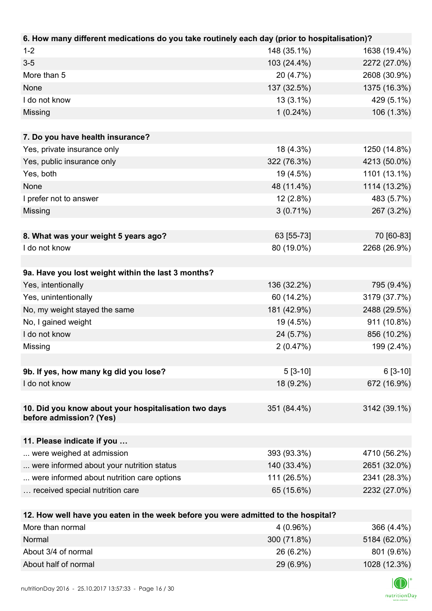| 6. How many different medications do you take routinely each day (prior to hospitalisation)? |             |              |
|----------------------------------------------------------------------------------------------|-------------|--------------|
| $1 - 2$                                                                                      | 148 (35.1%) | 1638 (19.4%) |
| $3-5$                                                                                        | 103 (24.4%) | 2272 (27.0%) |
| More than 5                                                                                  | 20 (4.7%)   | 2608 (30.9%) |
| None                                                                                         | 137 (32.5%) | 1375 (16.3%) |
| I do not know                                                                                | $13(3.1\%)$ | 429 (5.1%)   |
| Missing                                                                                      | $1(0.24\%)$ | 106 (1.3%)   |
|                                                                                              |             |              |
| 7. Do you have health insurance?                                                             |             |              |
| Yes, private insurance only                                                                  | 18 (4.3%)   | 1250 (14.8%) |
| Yes, public insurance only                                                                   | 322 (76.3%) | 4213 (50.0%) |
| Yes, both                                                                                    | 19 (4.5%)   | 1101 (13.1%) |
| None                                                                                         | 48 (11.4%)  | 1114 (13.2%) |
| I prefer not to answer                                                                       | $12(2.8\%)$ | 483 (5.7%)   |
| Missing                                                                                      | $3(0.71\%)$ | 267 (3.2%)   |
|                                                                                              |             |              |
| 8. What was your weight 5 years ago?                                                         | 63 [55-73]  | 70 [60-83]   |
| I do not know                                                                                | 80 (19.0%)  | 2268 (26.9%) |
|                                                                                              |             |              |
| 9a. Have you lost weight within the last 3 months?                                           |             |              |
| Yes, intentionally                                                                           | 136 (32.2%) | 795 (9.4%)   |
| Yes, unintentionally                                                                         | 60 (14.2%)  | 3179 (37.7%) |
| No, my weight stayed the same                                                                | 181 (42.9%) | 2488 (29.5%) |
| No, I gained weight                                                                          | 19 (4.5%)   | 911 (10.8%)  |
| I do not know                                                                                | 24 (5.7%)   | 856 (10.2%)  |
| Missing                                                                                      | 2(0.47%)    | 199 (2.4%)   |
|                                                                                              |             |              |
| 9b. If yes, how many kg did you lose?                                                        | $5[3-10]$   | $6[3-10]$    |
| I do not know                                                                                | 18 (9.2%)   | 672 (16.9%)  |
|                                                                                              |             |              |
| 10. Did you know about your hospitalisation two days<br>before admission? (Yes)              | 351 (84.4%) | 3142 (39.1%) |
|                                                                                              |             |              |
| 11. Please indicate if you                                                                   |             |              |
| were weighed at admission                                                                    | 393 (93.3%) | 4710 (56.2%) |
| were informed about your nutrition status                                                    | 140 (33.4%) | 2651 (32.0%) |
| were informed about nutrition care options                                                   | 111 (26.5%) | 2341 (28.3%) |
| received special nutrition care                                                              | 65 (15.6%)  | 2232 (27.0%) |
|                                                                                              |             |              |
| 12. How well have you eaten in the week before you were admitted to the hospital?            |             |              |
| More than normal                                                                             | 4 (0.96%)   | 366 (4.4%)   |

| <b>IVIOLE LIGHTHOILIGHT</b> | 4(0.9070)   | <b>JUU (4.470)</b> |
|-----------------------------|-------------|--------------------|
| Normal                      | 300 (71.8%) | 5184 (62.0%)       |
| About 3/4 of normal         | $26(6.2\%)$ | 801 (9.6%)         |
| About half of normal        | $29(6.9\%)$ | 1028 (12.3%)       |

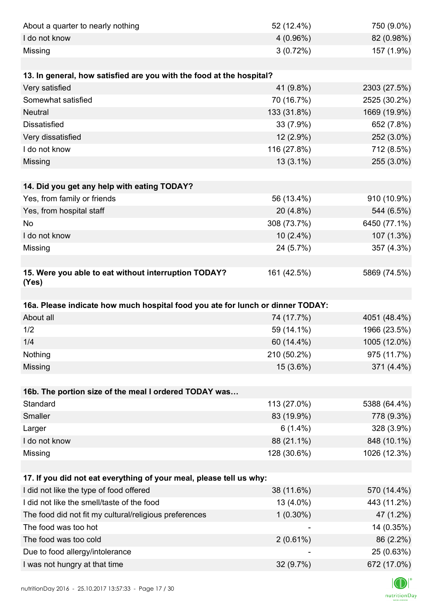| About a quarter to nearly nothing                                              | 52 (12.4%)  | 750 (9.0%)                |
|--------------------------------------------------------------------------------|-------------|---------------------------|
| I do not know                                                                  | $4(0.96\%)$ | 82 (0.98%)                |
| Missing                                                                        | 3(0.72%)    | 157 (1.9%)                |
|                                                                                |             |                           |
| 13. In general, how satisfied are you with the food at the hospital?           |             |                           |
| Very satisfied                                                                 | 41 (9.8%)   | 2303 (27.5%)              |
| Somewhat satisfied                                                             | 70 (16.7%)  | 2525 (30.2%)              |
| <b>Neutral</b>                                                                 | 133 (31.8%) | 1669 (19.9%)              |
| <b>Dissatisfied</b>                                                            | 33 (7.9%)   | 652 (7.8%)                |
| Very dissatisfied                                                              | $12(2.9\%)$ | 252 (3.0%)                |
| I do not know                                                                  | 116 (27.8%) | 712 (8.5%)                |
| Missing                                                                        | $13(3.1\%)$ | 255 (3.0%)                |
|                                                                                |             |                           |
| 14. Did you get any help with eating TODAY?                                    |             |                           |
| Yes, from family or friends                                                    | 56 (13.4%)  | 910 (10.9%)               |
| Yes, from hospital staff                                                       | 20 (4.8%)   | 544 (6.5%)                |
| No                                                                             | 308 (73.7%) | 6450 (77.1%)              |
| I do not know                                                                  | $10(2.4\%)$ | 107 (1.3%)                |
| Missing                                                                        | 24 (5.7%)   | 357 (4.3%)                |
|                                                                                |             |                           |
| 15. Were you able to eat without interruption TODAY?<br>(Yes)                  | 161 (42.5%) | 5869 (74.5%)              |
|                                                                                |             |                           |
| 16a. Please indicate how much hospital food you ate for lunch or dinner TODAY: |             |                           |
| About all                                                                      | 74 (17.7%)  | 4051 (48.4%)              |
| 1/2                                                                            | 59 (14.1%)  | 1966 (23.5%)              |
| 1/4                                                                            | 60 (14.4%)  | 1005 (12.0%)              |
| Nothing                                                                        | 210 (50.2%) | 975 (11.7%)               |
| Missing                                                                        | 15 (3.6%)   | 371 (4.4%)                |
|                                                                                |             |                           |
| 16b. The portion size of the meal I ordered TODAY was                          |             |                           |
| Standard                                                                       | 113 (27.0%) | 5388 (64.4%)              |
| Smaller                                                                        | 83 (19.9%)  | 778 (9.3%)                |
| Larger                                                                         | $6(1.4\%)$  | 328 (3.9%)                |
| I do not know                                                                  | 88 (21.1%)  | 848 (10.1%)               |
| Missing                                                                        | 128 (30.6%) | 1026 (12.3%)              |
|                                                                                |             |                           |
| 17. If you did not eat everything of your meal, please tell us why:            |             |                           |
| I did not like the type of food offered                                        | 38 (11.6%)  | 570 (14.4%)               |
|                                                                                |             |                           |
| I did not like the smell/taste of the food                                     | 13 (4.0%)   | 443 (11.2%)               |
| The food did not fit my cultural/religious preferences                         | $1(0.30\%)$ | 47 (1.2%)                 |
| The food was too hot                                                           |             | 14 (0.35%)                |
| The food was too cold                                                          | 2(0.61%)    | 86 (2.2%)                 |
| Due to food allergy/intolerance<br>I was not hungry at that time               | 32 (9.7%)   | 25 (0.63%)<br>672 (17.0%) |

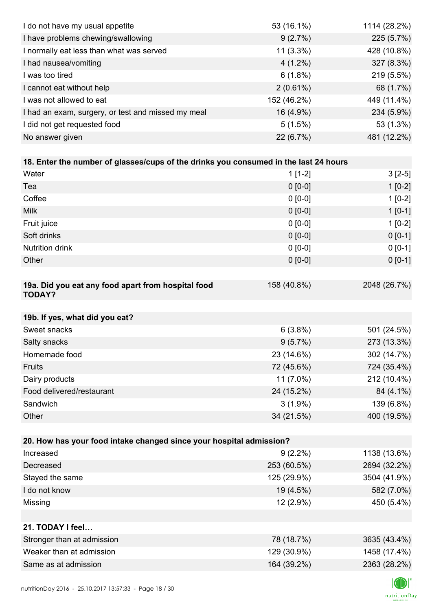| I do not have my usual appetite                                                      | 53 (16.1%)  | 1114 (28.2%) |
|--------------------------------------------------------------------------------------|-------------|--------------|
| I have problems chewing/swallowing                                                   | 9(2.7%)     | 225 (5.7%)   |
| I normally eat less than what was served                                             | $11(3.3\%)$ | 428 (10.8%)  |
| I had nausea/vomiting                                                                | $4(1.2\%)$  | 327 (8.3%)   |
| I was too tired                                                                      | $6(1.8\%)$  | 219 (5.5%)   |
| I cannot eat without help                                                            | $2(0.61\%)$ | 68 (1.7%)    |
| I was not allowed to eat                                                             | 152 (46.2%) | 449 (11.4%)  |
| I had an exam, surgery, or test and missed my meal                                   | 16 (4.9%)   | 234 (5.9%)   |
| I did not get requested food                                                         | 5(1.5%)     | 53 (1.3%)    |
| No answer given                                                                      | 22 (6.7%)   | 481 (12.2%)  |
|                                                                                      |             |              |
| 18. Enter the number of glasses/cups of the drinks you consumed in the last 24 hours |             |              |
| Water                                                                                | $1[1-2]$    | $3[2-5]$     |
| Tea                                                                                  | $0 [0-0]$   | $1[0-2]$     |
| Coffee                                                                               | $0 [0-0]$   | $1[0-2]$     |
| <b>Milk</b>                                                                          | $0 [0-0]$   | $1[0-1]$     |
| Fruit juice                                                                          | $0 [0-0]$   | $1[0-2]$     |
| Soft drinks                                                                          | $0 [0-0]$   | $0[0-1]$     |
| <b>Nutrition drink</b>                                                               | $0 [0-0]$   | $0 [0-1]$    |
| Other                                                                                | $0 [0-0]$   | $0 [0-1]$    |
|                                                                                      |             |              |
| 19a. Did you eat any food apart from hospital food<br><b>TODAY?</b>                  | 158 (40.8%) | 2048 (26.7%) |
| 19b. If yes, what did you eat?                                                       |             |              |
| Sweet snacks                                                                         | 6(3.8%)     | 501 (24.5%)  |
| Salty snacks                                                                         | 9(5.7%)     | 273 (13.3%)  |
| Homemade food                                                                        | 23 (14.6%)  | 302 (14.7%)  |
| Fruits                                                                               | 72 (45.6%)  | 724 (35.4%)  |
| Dairy products                                                                       | 11 (7.0%)   | 212 (10.4%)  |
| Food delivered/restaurant                                                            | 24 (15.2%)  | 84 (4.1%)    |
| Sandwich                                                                             | $3(1.9\%)$  | 139 (6.8%)   |
| Other                                                                                | 34 (21.5%)  | 400 (19.5%)  |
|                                                                                      |             |              |
| 20. How has your food intake changed since your hospital admission?                  |             |              |
| Increased                                                                            | $9(2.2\%)$  | 1138 (13.6%) |
| Decreased                                                                            | 253 (60.5%) | 2694 (32.2%) |
| Stayed the same                                                                      | 125 (29.9%) | 3504 (41.9%) |
| I do not know                                                                        | 19 (4.5%)   | 582 (7.0%)   |
| Missing                                                                              | 12 (2.9%)   | 450 (5.4%)   |
|                                                                                      |             |              |
| 21. TODAY I feel                                                                     |             |              |
| Stronger than at admission                                                           | 78 (18.7%)  | 3635 (43.4%) |
| Weaker than at admission                                                             | 129 (30.9%) | 1458 (17.4%) |
| Same as at admission                                                                 | 164 (39.2%) | 2363 (28.2%) |
|                                                                                      |             |              |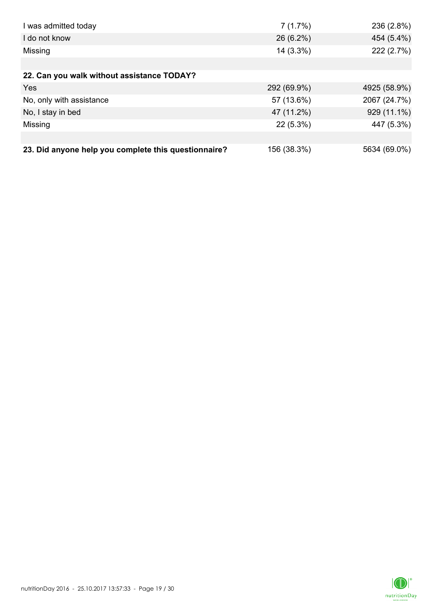| I was admitted today                                 | 7(1.7%)     | 236 (2.8%)   |
|------------------------------------------------------|-------------|--------------|
| I do not know                                        | 26 (6.2%)   | 454 (5.4%)   |
| Missing                                              | 14 (3.3%)   | 222 (2.7%)   |
|                                                      |             |              |
| 22. Can you walk without assistance TODAY?           |             |              |
| Yes                                                  | 292 (69.9%) | 4925 (58.9%) |
| No, only with assistance                             | 57 (13.6%)  | 2067 (24.7%) |
| No, I stay in bed                                    | 47 (11.2%)  | 929 (11.1%)  |
| Missing                                              | $22(5.3\%)$ | 447 (5.3%)   |
|                                                      |             |              |
| 23. Did anyone help you complete this questionnaire? | 156 (38.3%) | 5634 (69.0%) |

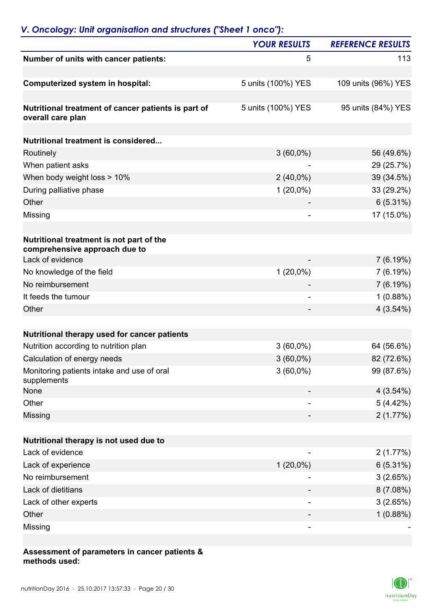# *V. Oncology: Unit organisation and structures ("Sheet 1 onco"): YOUR RESULTS REFERENCE RESULTS* **Number of units with cancer patients:** 5 113 **Computerized system in hospital:** 5 units (100%) YES 109 units (96%) YES **Nutritional treatment of cancer patients is part of** 5 units (100%) YES 95 units (84%) YES **overall care plan Nutritional treatment is considered...**  Routinely 3 (60,0%) 56 (49.6%) When patient asks 29 (25.7%) When body weight loss > 10% 2 (40,0%) 39 (34.5%) During palliative phase 33 (29.2%) Other  $6(5.31\%)$ Missing - 17 (15.0%) **Nutritional treatment is not part of the comprehensive approach due to** Lack of evidence 7 (6.19%) No knowledge of the field  $(20,0\%)$   $(6.19\%)$ No reimbursement 7 (6.19%) It feeds the tumour 1 (0.88%)  $\bullet$  4 (3.54%)  $\bullet$  4 (3.54%) **Nutritional therapy used for cancer patients** Nutrition according to nutrition plan  $3(60,0\%)$  64 (56.6%) Calculation of energy needs  $3(60,0\%)$  82 (72.6%) Monitoring patients intake and use of oral supplements 3 (60,0%) 99 (87.6%) None  $4(3.54\%)$ Other  $5(4.42\%)$

## **Nutritional therapy is not used due to** Lack of evidence  $\sim$  2 (1.77%) Lack of experience  $6(5.31\%)$ No reimbursement 3 (2.65%) Lack of dietitians 8 (7.08%) Lack of other experts 3 (2.65%) Other - 1 (0.88%) Missing the contract of the contract of the contract of the contract of the contract of the contract of the co

 $\blacksquare$  Missing  $2\ (1.77\%)$ 

#### **Assessment of parameters in cancer patients & methods used:**

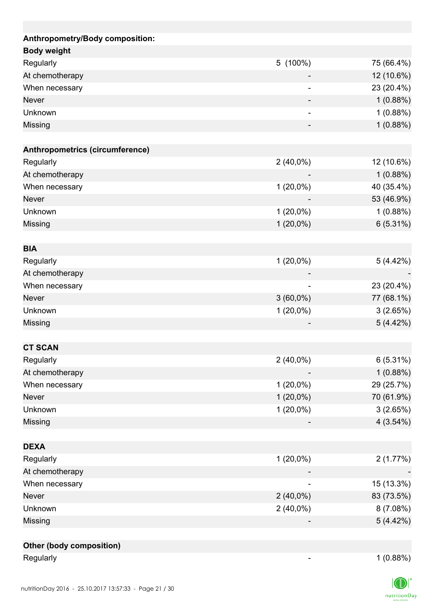| Anthropometry/Body composition: |             |            |
|---------------------------------|-------------|------------|
| <b>Body weight</b>              |             |            |
| Regularly                       | 5 (100%)    | 75 (66.4%) |
| At chemotherapy                 |             | 12 (10.6%) |
| When necessary                  |             | 23 (20.4%) |
| <b>Never</b>                    |             | 1(0.88%)   |
| Unknown                         |             | 1(0.88%)   |
| Missing                         |             | 1(0.88%)   |
|                                 |             |            |
| Anthropometrics (circumference) |             |            |
| Regularly                       | $2(40,0\%)$ | 12 (10.6%) |
| At chemotherapy                 |             | 1(0.88%)   |
| When necessary                  | $1(20,0\%)$ | 40 (35.4%) |
| <b>Never</b>                    |             | 53 (46.9%) |
| Unknown                         | $1(20,0\%)$ | 1(0.88%)   |
| Missing                         | $1(20,0\%)$ | 6(5.31%)   |
| <b>BIA</b>                      |             |            |
| Regularly                       | $1(20,0\%)$ | 5(4.42%)   |
| At chemotherapy                 |             |            |
|                                 |             | 23 (20.4%) |
| When necessary<br><b>Never</b>  | $3(60,0\%)$ |            |
|                                 |             | 77 (68.1%) |
| Unknown                         | $1(20,0\%)$ | 3(2.65%)   |
| Missing                         |             | 5(4.42%)   |
| <b>CT SCAN</b>                  |             |            |
| Regularly                       | $2(40,0\%)$ | 6(5.31%)   |
| At chemotherapy                 |             | 1(0.88%)   |
| When necessary                  | $1(20,0\%)$ | 29 (25.7%) |
| Never                           | $1(20,0\%)$ | 70 (61.9%) |
| Unknown                         | $1(20,0\%)$ | 3(2.65%)   |
| Missing                         |             | 4(3.54%)   |
|                                 |             |            |
| <b>DEXA</b>                     |             |            |
| Regularly                       | $1(20,0\%)$ | 2(1.77%)   |
| At chemotherapy                 |             |            |
| When necessary                  |             | 15 (13.3%) |
| Never                           | $2(40,0\%)$ | 83 (73.5%) |
| Unknown                         | $2(40,0\%)$ | 8(7.08%)   |
| Missing                         |             | 5(4.42%)   |
| Other (body composition)        |             |            |

Regularly 1 (0.88%)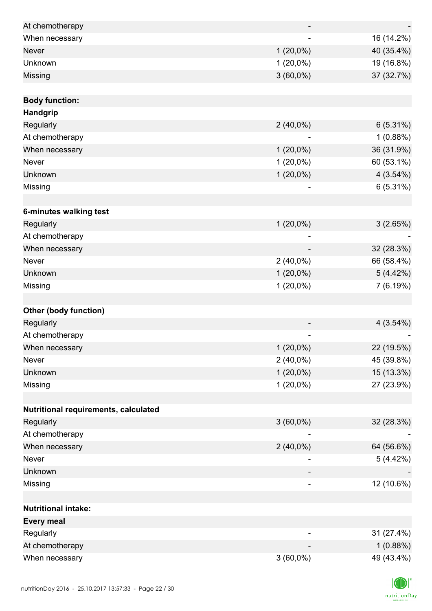| At chemotherapy                      |                              |             |
|--------------------------------------|------------------------------|-------------|
| When necessary                       |                              | 16 (14.2%)  |
| <b>Never</b>                         | $1(20,0\%)$                  | 40 (35.4%)  |
| Unknown                              | $1(20,0\%)$                  | 19 (16.8%)  |
| Missing                              | $3(60,0\%)$                  | 37 (32.7%)  |
|                                      |                              |             |
| <b>Body function:</b>                |                              |             |
| Handgrip                             |                              |             |
| Regularly                            | $2(40,0\%)$                  | $6(5.31\%)$ |
| At chemotherapy                      |                              | 1(0.88%)    |
| When necessary                       | $1(20,0\%)$                  | 36 (31.9%)  |
| Never                                | $1(20,0\%)$                  | 60 (53.1%)  |
| Unknown                              | $1(20,0\%)$                  | 4(3.54%)    |
| Missing                              | -                            | 6(5.31%)    |
|                                      |                              |             |
| 6-minutes walking test               |                              |             |
| Regularly                            | $1(20,0\%)$                  | 3(2.65%)    |
| At chemotherapy                      |                              |             |
| When necessary                       |                              | 32 (28.3%)  |
| Never                                | $2(40,0\%)$                  | 66 (58.4%)  |
| Unknown                              | $1(20,0\%)$                  | 5(4.42%)    |
| Missing                              | $1(20,0\%)$                  | 7 (6.19%)   |
|                                      |                              |             |
| <b>Other (body function)</b>         |                              |             |
| Regularly                            |                              | 4(3.54%)    |
| At chemotherapy                      | $\qquad \qquad \blacksquare$ |             |
| When necessary                       | $1(20,0\%)$                  | 22 (19.5%)  |
| <b>Never</b>                         | $2(40,0\%)$                  | 45 (39.8%)  |
| Unknown                              | $1(20,0\%)$                  | 15 (13.3%)  |
| Missing                              | $1(20,0\%)$                  | 27 (23.9%)  |
|                                      |                              |             |
| Nutritional requirements, calculated |                              |             |
| Regularly                            | $3(60,0\%)$                  | 32 (28.3%)  |
| At chemotherapy                      |                              |             |
| When necessary                       | $2(40,0\%)$                  | 64 (56.6%)  |
| Never                                |                              | 5(4.42%)    |
| Unknown                              |                              |             |
| Missing                              | ۰                            | 12 (10.6%)  |
|                                      |                              |             |
| <b>Nutritional intake:</b>           |                              |             |
| <b>Every meal</b>                    |                              |             |
| Regularly                            |                              | 31 (27.4%)  |
| At chemotherapy                      |                              | 1(0.88%)    |
| When necessary                       | $3(60,0\%)$                  | 49 (43.4%)  |

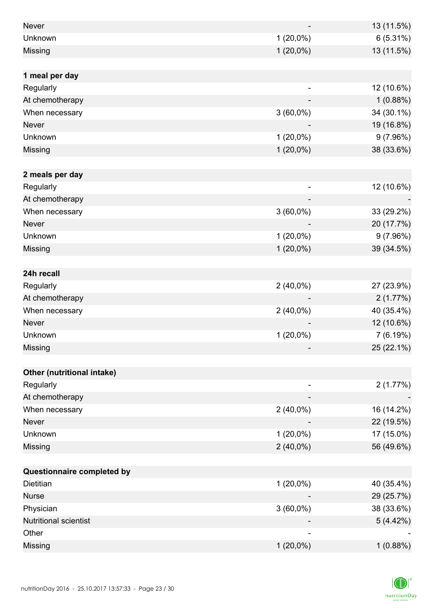| Never                        |                | 13 (11.5%) |
|------------------------------|----------------|------------|
| Unknown                      | $1(20,0\%)$    | 6(5.31%)   |
| Missing                      | $1(20,0\%)$    | 13 (11.5%) |
|                              |                |            |
| 1 meal per day               |                |            |
| Regularly                    |                | 12 (10.6%) |
| At chemotherapy              |                | 1(0.88%)   |
| When necessary               | $3(60,0\%)$    | 34 (30.1%) |
| <b>Never</b>                 |                | 19 (16.8%) |
| Unknown                      | $1(20,0\%)$    | 9(7.96%)   |
| Missing                      | $1(20,0\%)$    | 38 (33.6%) |
|                              |                |            |
| 2 meals per day              |                |            |
| Regularly                    | $\overline{a}$ | 12 (10.6%) |
| At chemotherapy              |                |            |
| When necessary               | $3(60,0\%)$    | 33 (29.2%) |
| <b>Never</b>                 |                | 20 (17.7%) |
| Unknown                      | $1(20,0\%)$    | 9(7.96%)   |
| Missing                      | $1(20,0\%)$    | 39 (34.5%) |
|                              |                |            |
| 24h recall                   |                |            |
| Regularly                    | $2(40,0\%)$    | 27 (23.9%) |
| At chemotherapy              |                | 2(1.77%)   |
| When necessary               | $2(40,0\%)$    | 40 (35.4%) |
| <b>Never</b>                 |                | 12 (10.6%) |
| Unknown                      | $1(20,0\%)$    | 7(6.19%)   |
| Missing                      |                | 25 (22.1%) |
|                              |                |            |
| Other (nutritional intake)   |                |            |
| Regularly                    |                | 2(1.77%)   |
| At chemotherapy              |                |            |
| When necessary               | $2(40,0\%)$    | 16 (14.2%) |
| Never                        |                | 22 (19.5%) |
| Unknown                      | $1(20,0\%)$    | 17 (15.0%) |
| Missing                      | $2(40,0\%)$    | 56 (49.6%) |
|                              |                |            |
| Questionnaire completed by   |                |            |
| Dietitian                    | $1(20,0\%)$    | 40 (35.4%) |
| <b>Nurse</b>                 |                | 29 (25.7%) |
| Physician                    | $3(60,0\%)$    | 38 (33.6%) |
| <b>Nutritional scientist</b> |                | 5(4.42%)   |
| Other                        |                |            |
| Missing                      | $1(20,0\%)$    | 1(0.88%)   |

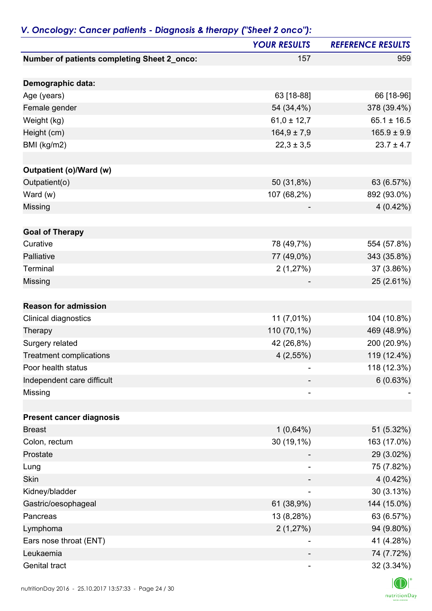| Number of patients completing Sheet 2_onco:<br>157<br>Demographic data:<br>63 [18-88]<br>Age (years)<br>54 (34,4%)<br>Female gender<br>$61,0 \pm 12,7$<br>Weight (kg)<br>$164,9 \pm 7,9$<br>Height (cm)<br>$22,3 \pm 3,5$<br>BMI (kg/m2)<br><b>Outpatient (o)/Ward (w)</b><br>Outpatient(o)<br>50 (31,8%)<br>107 (68,2%)<br>Ward (w)<br>Missing<br><b>Goal of Therapy</b><br>Curative<br>78 (49,7%)<br>Palliative<br>77 (49,0%)<br>Terminal<br>2(1,27%)<br>Missing<br><b>Reason for admission</b><br>11 (7,01%)<br>Clinical diagnostics<br>110 (70,1%)<br>Therapy<br>Surgery related<br>42 (26,8%)<br><b>Treatment complications</b> | <b>YOUR RESULTS</b> | <b>REFERENCE RESULTS</b> |
|--------------------------------------------------------------------------------------------------------------------------------------------------------------------------------------------------------------------------------------------------------------------------------------------------------------------------------------------------------------------------------------------------------------------------------------------------------------------------------------------------------------------------------------------------------------------------------------------------------------------------------------|---------------------|--------------------------|
|                                                                                                                                                                                                                                                                                                                                                                                                                                                                                                                                                                                                                                      |                     | 959                      |
|                                                                                                                                                                                                                                                                                                                                                                                                                                                                                                                                                                                                                                      |                     |                          |
|                                                                                                                                                                                                                                                                                                                                                                                                                                                                                                                                                                                                                                      |                     | 66 [18-96]               |
|                                                                                                                                                                                                                                                                                                                                                                                                                                                                                                                                                                                                                                      |                     | 378 (39.4%)              |
|                                                                                                                                                                                                                                                                                                                                                                                                                                                                                                                                                                                                                                      |                     | $65.1 \pm 16.5$          |
|                                                                                                                                                                                                                                                                                                                                                                                                                                                                                                                                                                                                                                      |                     | $165.9 \pm 9.9$          |
|                                                                                                                                                                                                                                                                                                                                                                                                                                                                                                                                                                                                                                      |                     | $23.7 \pm 4.7$           |
|                                                                                                                                                                                                                                                                                                                                                                                                                                                                                                                                                                                                                                      |                     |                          |
|                                                                                                                                                                                                                                                                                                                                                                                                                                                                                                                                                                                                                                      |                     |                          |
|                                                                                                                                                                                                                                                                                                                                                                                                                                                                                                                                                                                                                                      |                     | 63 (6.57%)               |
|                                                                                                                                                                                                                                                                                                                                                                                                                                                                                                                                                                                                                                      |                     | 892 (93.0%)              |
|                                                                                                                                                                                                                                                                                                                                                                                                                                                                                                                                                                                                                                      |                     | $4(0.42\%)$              |
|                                                                                                                                                                                                                                                                                                                                                                                                                                                                                                                                                                                                                                      |                     |                          |
|                                                                                                                                                                                                                                                                                                                                                                                                                                                                                                                                                                                                                                      |                     |                          |
|                                                                                                                                                                                                                                                                                                                                                                                                                                                                                                                                                                                                                                      |                     | 554 (57.8%)              |
|                                                                                                                                                                                                                                                                                                                                                                                                                                                                                                                                                                                                                                      |                     | 343 (35.8%)              |
|                                                                                                                                                                                                                                                                                                                                                                                                                                                                                                                                                                                                                                      |                     | 37 (3.86%)               |
|                                                                                                                                                                                                                                                                                                                                                                                                                                                                                                                                                                                                                                      |                     | 25 (2.61%)               |
|                                                                                                                                                                                                                                                                                                                                                                                                                                                                                                                                                                                                                                      |                     |                          |
|                                                                                                                                                                                                                                                                                                                                                                                                                                                                                                                                                                                                                                      |                     |                          |
|                                                                                                                                                                                                                                                                                                                                                                                                                                                                                                                                                                                                                                      |                     | 104 (10.8%)              |
|                                                                                                                                                                                                                                                                                                                                                                                                                                                                                                                                                                                                                                      |                     | 469 (48.9%)              |
|                                                                                                                                                                                                                                                                                                                                                                                                                                                                                                                                                                                                                                      |                     | 200 (20.9%)              |
|                                                                                                                                                                                                                                                                                                                                                                                                                                                                                                                                                                                                                                      | $4(2,55\%)$         | 119 (12.4%)              |
| Poor health status                                                                                                                                                                                                                                                                                                                                                                                                                                                                                                                                                                                                                   |                     | 118 (12.3%)              |
| Independent care difficult                                                                                                                                                                                                                                                                                                                                                                                                                                                                                                                                                                                                           |                     | 6(0.63%)                 |
| Missing<br>۰                                                                                                                                                                                                                                                                                                                                                                                                                                                                                                                                                                                                                         |                     |                          |
|                                                                                                                                                                                                                                                                                                                                                                                                                                                                                                                                                                                                                                      |                     |                          |
| <b>Present cancer diagnosis</b>                                                                                                                                                                                                                                                                                                                                                                                                                                                                                                                                                                                                      |                     |                          |
| $1(0,64\%)$<br><b>Breast</b>                                                                                                                                                                                                                                                                                                                                                                                                                                                                                                                                                                                                         |                     | 51 (5.32%)               |
| 30 (19,1%)<br>Colon, rectum                                                                                                                                                                                                                                                                                                                                                                                                                                                                                                                                                                                                          |                     | 163 (17.0%)              |
| Prostate                                                                                                                                                                                                                                                                                                                                                                                                                                                                                                                                                                                                                             |                     | 29 (3.02%)               |
| Lung                                                                                                                                                                                                                                                                                                                                                                                                                                                                                                                                                                                                                                 |                     | 75 (7.82%)               |
| Skin                                                                                                                                                                                                                                                                                                                                                                                                                                                                                                                                                                                                                                 |                     | 4 (0.42%)                |
| Kidney/bladder                                                                                                                                                                                                                                                                                                                                                                                                                                                                                                                                                                                                                       |                     | 30(3.13%)                |
| 61 (38,9%)<br>Gastric/oesophageal                                                                                                                                                                                                                                                                                                                                                                                                                                                                                                                                                                                                    |                     | 144 (15.0%)              |
| 13 (8,28%)<br>Pancreas                                                                                                                                                                                                                                                                                                                                                                                                                                                                                                                                                                                                               |                     | 63 (6.57%)               |
| 2(1,27%)<br>Lymphoma                                                                                                                                                                                                                                                                                                                                                                                                                                                                                                                                                                                                                 |                     | 94 (9.80%)               |
| Ears nose throat (ENT)<br>$\overline{\phantom{a}}$                                                                                                                                                                                                                                                                                                                                                                                                                                                                                                                                                                                   |                     | 41 (4.28%)               |
| Leukaemia                                                                                                                                                                                                                                                                                                                                                                                                                                                                                                                                                                                                                            |                     | 74 (7.72%)               |
| Genital tract                                                                                                                                                                                                                                                                                                                                                                                                                                                                                                                                                                                                                        |                     | 32 (3.34%)               |

## *V. Oncology: Cancer patients - Diagnosis & therapy ("Sheet 2 onco"):*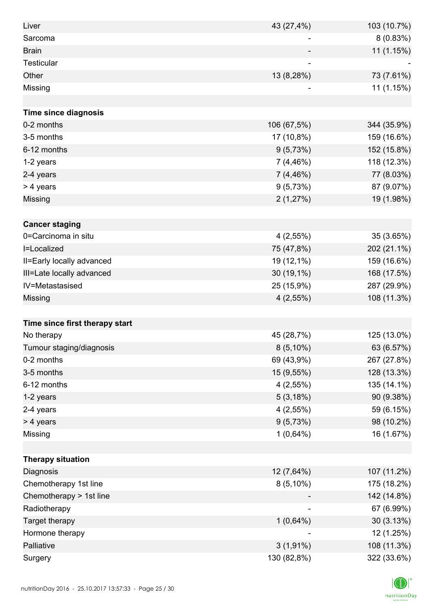| Liver                          | 43 (27,4%)  | 103 (10.7%) |
|--------------------------------|-------------|-------------|
| Sarcoma                        |             | 8(0.83%)    |
| <b>Brain</b>                   |             | 11 (1.15%)  |
| Testicular                     |             |             |
| Other                          | 13 (8,28%)  | 73 (7.61%)  |
| Missing                        |             | 11 (1.15%)  |
|                                |             |             |
| Time since diagnosis           |             |             |
| 0-2 months                     | 106 (67,5%) | 344 (35.9%) |
| 3-5 months                     | 17 (10,8%)  | 159 (16.6%) |
| 6-12 months                    | 9(5,73%)    | 152 (15.8%) |
| 1-2 years                      | 7(4,46%)    | 118 (12.3%) |
| 2-4 years                      | 7(4,46%)    | 77 (8.03%)  |
| > 4 years                      | 9(5,73%)    | 87 (9.07%)  |
| Missing                        | 2(1,27%)    | 19 (1.98%)  |
|                                |             |             |
| <b>Cancer staging</b>          |             |             |
| 0=Carcinoma in situ            | $4(2,55\%)$ | 35 (3.65%)  |
| I=Localized                    | 75 (47,8%)  | 202 (21.1%) |
| II=Early locally advanced      | 19 (12,1%)  | 159 (16.6%) |
| III=Late locally advanced      | 30 (19,1%)  | 168 (17.5%) |
| IV=Metastasised                | 25 (15,9%)  | 287 (29.9%) |
| Missing                        | $4(2,55\%)$ | 108 (11.3%) |
|                                |             |             |
| Time since first therapy start |             |             |
| No therapy                     | 45 (28,7%)  | 125 (13.0%) |
| Tumour staging/diagnosis       | $8(5,10\%)$ | 63 (6.57%)  |
| 0-2 months                     | 69 (43,9%)  | 267 (27.8%) |
| 3-5 months                     | 15 (9,55%)  | 128 (13.3%) |
| 6-12 months                    | $4(2,55\%)$ | 135 (14.1%) |
| 1-2 years                      | 5(3,18%)    | 90 (9.38%)  |
| 2-4 years                      | $4(2,55\%)$ | 59 (6.15%)  |
| > 4 years                      | 9(5,73%)    | 98 (10.2%)  |
| Missing                        | $1(0,64\%)$ | 16 (1.67%)  |
|                                |             |             |
| <b>Therapy situation</b>       |             |             |
| Diagnosis                      | 12 (7,64%)  | 107 (11.2%) |
| Chemotherapy 1st line          | $8(5,10\%)$ | 175 (18.2%) |
| Chemotherapy > 1st line        |             | 142 (14.8%) |
| Radiotherapy                   |             | 67 (6.99%)  |
| Target therapy                 | $1(0,64\%)$ | 30 (3.13%)  |
| Hormone therapy                |             | 12 (1.25%)  |
| Palliative                     | $3(1,91\%)$ | 108 (11.3%) |
| Surgery                        | 130 (82,8%) | 322 (33.6%) |

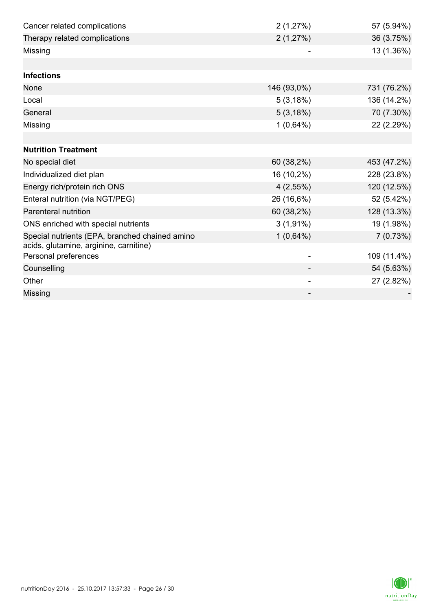| Cancer related complications                                   | 2(1,27%)                 | 57 (5.94%)  |
|----------------------------------------------------------------|--------------------------|-------------|
| Therapy related complications                                  | 2(1,27%)                 | 36 (3.75%)  |
| Missing                                                        |                          | 13 (1.36%)  |
|                                                                |                          |             |
| <b>Infections</b>                                              |                          |             |
| None                                                           | 146 (93,0%)              | 731 (76.2%) |
| Local                                                          | 5(3,18%)                 | 136 (14.2%) |
| General                                                        | 5(3,18%)                 | 70 (7.30%)  |
| Missing                                                        | $1(0,64\%)$              | 22 (2.29%)  |
|                                                                |                          |             |
| <b>Nutrition Treatment</b>                                     |                          |             |
| No special diet                                                | 60 (38,2%)               | 453 (47.2%) |
| Individualized diet plan                                       | 16 (10,2%)               | 228 (23.8%) |
| Energy rich/protein rich ONS                                   | $4(2,55\%)$              | 120 (12.5%) |
| Enteral nutrition (via NGT/PEG)                                | 26 (16,6%)               | 52 (5.42%)  |
| Parenteral nutrition                                           | 60 (38,2%)               | 128 (13.3%) |
| ONS enriched with special nutrients                            | $3(1,91\%)$              | 19 (1.98%)  |
| Special nutrients (EPA, branched chained amino                 | $1(0,64\%)$              | 7(0.73%)    |
| acids, glutamine, arginine, carnitine)<br>Personal preferences |                          | 109 (11.4%) |
| Counselling                                                    |                          | 54 (5.63%)  |
| Other                                                          | $\overline{\phantom{a}}$ | 27 (2.82%)  |
| Missing                                                        |                          |             |
|                                                                |                          |             |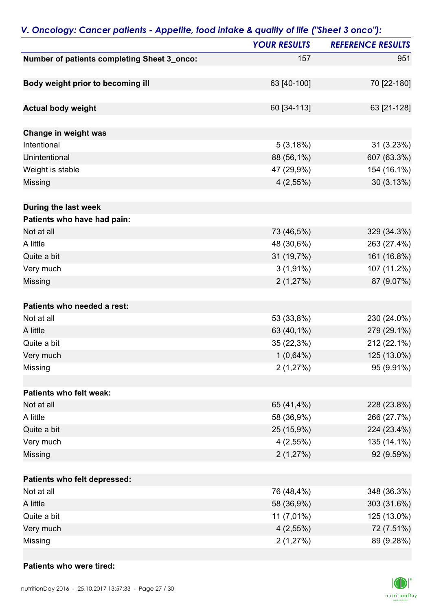| $P$ . $P$ and $P$ and $P$ and $P$ and $P$ and $P$ and $P$ and $P$ and $P$ and $P$ | <b>YOUR RESULTS</b> | <b>REFERENCE RESULTS</b> |
|-----------------------------------------------------------------------------------|---------------------|--------------------------|
| Number of patients completing Sheet 3_onco:                                       | 157                 | 951                      |
|                                                                                   |                     |                          |
| Body weight prior to becoming ill                                                 | 63 [40-100]         | 70 [22-180]              |
|                                                                                   |                     |                          |
| <b>Actual body weight</b>                                                         | 60 [34-113]         | 63 [21-128]              |
|                                                                                   |                     |                          |
| Change in weight was                                                              |                     |                          |
| Intentional                                                                       | 5(3,18%)            | 31 (3.23%)               |
| Unintentional                                                                     | 88 (56,1%)          | 607 (63.3%)              |
| Weight is stable                                                                  | 47 (29,9%)          | 154 (16.1%)              |
| Missing                                                                           | $4(2,55\%)$         | 30 (3.13%)               |
|                                                                                   |                     |                          |
| During the last week                                                              |                     |                          |
| Patients who have had pain:                                                       |                     |                          |
| Not at all                                                                        | 73 (46,5%)          | 329 (34.3%)              |
| A little                                                                          | 48 (30,6%)          | 263 (27.4%)              |
| Quite a bit                                                                       | 31 (19,7%)          | 161 (16.8%)              |
| Very much                                                                         | $3(1,91\%)$         | 107 (11.2%)              |
| Missing                                                                           | 2(1,27%)            | 87 (9.07%)               |
| Patients who needed a rest:                                                       |                     |                          |
| Not at all                                                                        | 53 (33,8%)          | 230 (24.0%)              |
| A little                                                                          |                     |                          |
|                                                                                   | 63 (40,1%)          | 279 (29.1%)              |
| Quite a bit                                                                       | 35 (22,3%)          | 212 (22.1%)              |
| Very much                                                                         | $1(0,64\%)$         | 125 (13.0%)              |
| Missing                                                                           | 2(1,27%)            | 95 (9.91%)               |
| Patients who felt weak:                                                           |                     |                          |
| Not at all                                                                        | 65 (41,4%)          | 228 (23.8%)              |
| A little                                                                          | 58 (36,9%)          | 266 (27.7%)              |
| Quite a bit                                                                       | 25 (15,9%)          | 224 (23.4%)              |
| Very much                                                                         | 4(2,55%)            | 135 (14.1%)              |
| Missing                                                                           | 2(1,27%)            | 92 (9.59%)               |
|                                                                                   |                     |                          |
| Patients who felt depressed:                                                      |                     |                          |
| Not at all                                                                        | 76 (48,4%)          | 348 (36.3%)              |
| A little                                                                          | 58 (36,9%)          | 303 (31.6%)              |
| Quite a bit                                                                       | 11 (7,01%)          | 125 (13.0%)              |
| Very much                                                                         | $4(2,55\%)$         | 72 (7.51%)               |
| Missing                                                                           | 2(1,27%)            | 89 (9.28%)               |

### *V. Oncology: Cancer patients - Appetite, food intake & quality of life ("Sheet 3 onco"):*

#### **Patients who were tired:**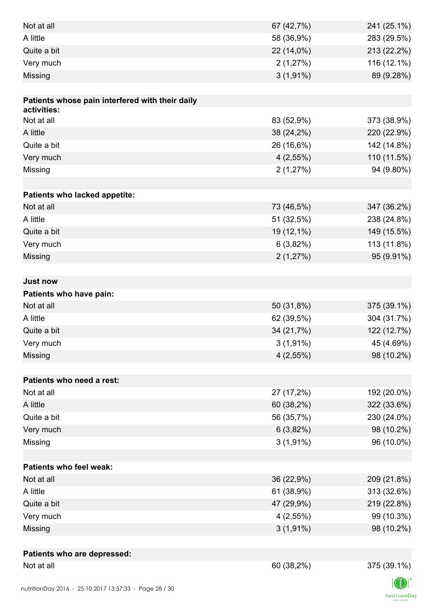| Not at all                                      | 67 (42,7%)  | 241 (25.1%) |
|-------------------------------------------------|-------------|-------------|
| A little                                        | 58 (36,9%)  | 283 (29.5%) |
| Quite a bit                                     | 22 (14,0%)  | 213 (22.2%) |
| Very much                                       | 2(1,27%)    | 116 (12.1%) |
| Missing                                         | $3(1,91\%)$ | 89 (9.28%)  |
|                                                 |             |             |
| Patients whose pain interfered with their daily |             |             |
| activities:                                     |             |             |
| Not at all                                      | 83 (52,9%)  | 373 (38.9%) |
| A little                                        | 38 (24,2%)  | 220 (22.9%) |
| Quite a bit                                     | 26 (16,6%)  | 142 (14.8%) |
| Very much                                       | 4(2,55%)    | 110 (11.5%) |
| Missing                                         | 2(1,27%)    | 94 (9.80%)  |
|                                                 |             |             |
| Patients who lacked appetite:                   |             |             |
| Not at all                                      | 73 (46,5%)  | 347 (36.2%) |
| A little                                        | 51 (32,5%)  | 238 (24.8%) |
| Quite a bit                                     | 19 (12,1%)  | 149 (15.5%) |
| Very much                                       | 6(3,82%)    | 113 (11.8%) |
| Missing                                         | 2(1,27%)    | 95 (9.91%)  |
|                                                 |             |             |
| <b>Just now</b>                                 |             |             |
| Patients who have pain:                         |             |             |
| Not at all                                      | 50 (31,8%)  | 375 (39.1%) |
| A little                                        | 62 (39,5%)  | 304 (31.7%) |
| Quite a bit                                     | 34 (21,7%)  | 122 (12.7%) |
| Very much                                       | $3(1,91\%)$ | 45 (4.69%)  |
| Missing                                         | $4(2,55\%)$ | 98 (10.2%)  |
|                                                 |             |             |
| Patients who need a rest:                       |             |             |
| Not at all                                      | 27 (17,2%)  | 192 (20.0%) |
| A little                                        | 60 (38,2%)  | 322 (33.6%) |
| Quite a bit                                     | 56 (35,7%)  | 230 (24.0%) |
| Very much                                       | 6(3,82%)    | 98 (10.2%)  |
| Missing                                         | $3(1,91\%)$ | 96 (10.0%)  |
|                                                 |             |             |
| <b>Patients who feel weak:</b>                  |             |             |
| Not at all                                      | 36 (22,9%)  | 209 (21.8%) |
| A little                                        | 61 (38,9%)  | 313 (32.6%) |
| Quite a bit                                     | 47 (29,9%)  | 219 (22.8%) |
| Very much                                       | $4(2,55\%)$ | 99 (10.3%)  |
| Missing                                         | $3(1,91\%)$ | 98 (10.2%)  |
|                                                 |             |             |
| Patients who are depressed:                     |             |             |
| Not at all                                      | 60 (38,2%)  | 375 (39.1%) |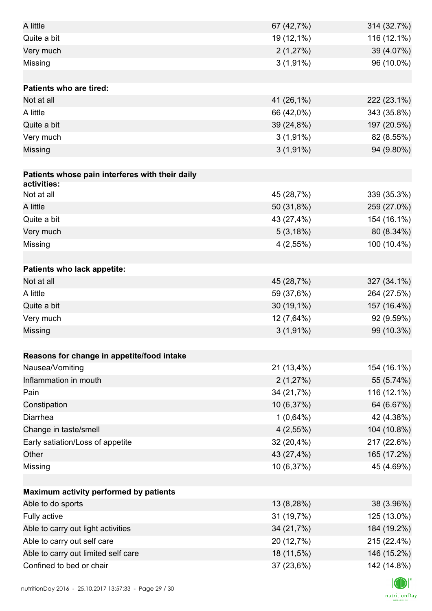| A little                                        | 67 (42,7%)  | 314 (32.7%) |
|-------------------------------------------------|-------------|-------------|
| Quite a bit                                     | 19 (12,1%)  | 116 (12.1%) |
| Very much                                       | 2(1,27%)    | 39 (4.07%)  |
| Missing                                         | $3(1,91\%)$ | 96 (10.0%)  |
|                                                 |             |             |
| <b>Patients who are tired:</b>                  |             |             |
| Not at all                                      | 41 (26,1%)  | 222 (23.1%) |
| A little                                        | 66 (42,0%)  | 343 (35.8%) |
| Quite a bit                                     | 39 (24,8%)  | 197 (20.5%) |
| Very much                                       | $3(1,91\%)$ | 82 (8.55%)  |
| Missing                                         | $3(1,91\%)$ | 94 (9.80%)  |
|                                                 |             |             |
| Patients whose pain interferes with their daily |             |             |
| activities:                                     |             |             |
| Not at all                                      | 45 (28,7%)  | 339 (35.3%) |
| A little                                        | 50 (31,8%)  | 259 (27.0%) |
| Quite a bit                                     | 43 (27,4%)  | 154 (16.1%) |
| Very much                                       | 5(3,18%)    | 80 (8.34%)  |
| Missing                                         | 4(2,55%)    | 100 (10.4%) |
|                                                 |             |             |
| Patients who lack appetite:                     |             |             |
| Not at all                                      | 45 (28,7%)  | 327 (34.1%) |
| A little                                        | 59 (37,6%)  | 264 (27.5%) |
| Quite a bit                                     | 30 (19,1%)  | 157 (16.4%) |
| Very much                                       | 12 (7,64%)  | 92 (9.59%)  |
| Missing                                         | $3(1,91\%)$ | 99 (10.3%)  |
|                                                 |             |             |
| Reasons for change in appetite/food intake      |             |             |
| Nausea/Vomiting                                 | 21 (13,4%)  | 154 (16.1%) |
| Inflammation in mouth                           | 2(1,27%)    | 55 (5.74%)  |
| Pain                                            | 34 (21,7%)  | 116 (12.1%) |
| Constipation                                    | 10 (6,37%)  | 64 (6.67%)  |
| Diarrhea                                        | $1(0,64\%)$ | 42 (4.38%)  |
| Change in taste/smell                           | $4(2,55\%)$ | 104 (10.8%) |
| Early satiation/Loss of appetite                | 32 (20,4%)  | 217 (22.6%) |
| Other                                           | 43 (27,4%)  | 165 (17.2%) |
| Missing                                         | 10 (6,37%)  | 45 (4.69%)  |
|                                                 |             |             |
| Maximum activity performed by patients          |             |             |
| Able to do sports                               | 13 (8,28%)  | 38 (3.96%)  |
| Fully active                                    | 31 (19,7%)  | 125 (13.0%) |
| Able to carry out light activities              | 34 (21,7%)  | 184 (19.2%) |
| Able to carry out self care                     | 20 (12,7%)  | 215 (22.4%) |
| Able to carry out limited self care             | 18 (11,5%)  | 146 (15.2%) |
| Confined to bed or chair                        | 37 (23,6%)  | 142 (14.8%) |